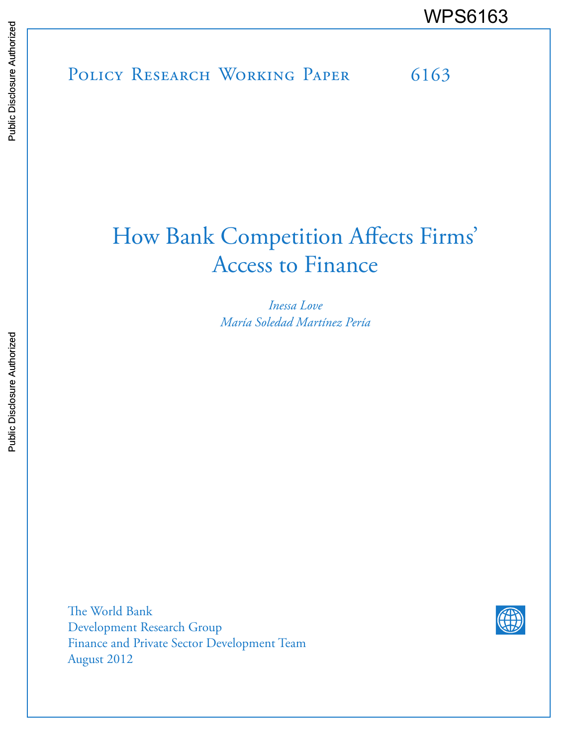POLICY RESEARCH WORKING PAPER 6163 WPS6163

# How Bank Competition Affects Firms' Access to Finance

*Inessa Love María Soledad Martínez Pería*

The World Bank Development Research Group Finance and Private Sector Development Team August 2012

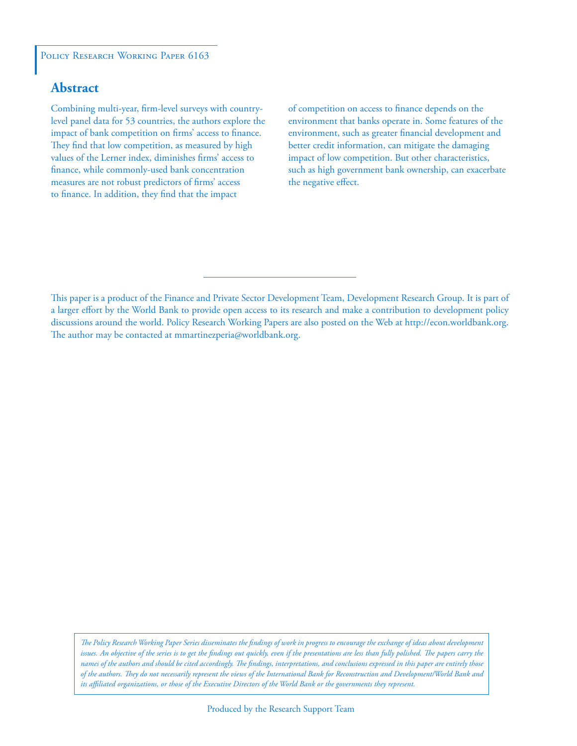#### POLICY RESEARCH WORKING PAPER 6163

## **Abstract**

Combining multi-year, firm-level surveys with countrylevel panel data for 53 countries, the authors explore the impact of bank competition on firms' access to finance. They find that low competition, as measured by high values of the Lerner index, diminishes firms' access to finance, while commonly-used bank concentration measures are not robust predictors of firms' access to finance. In addition, they find that the impact

of competition on access to finance depends on the environment that banks operate in. Some features of the environment, such as greater financial development and better credit information, can mitigate the damaging impact of low competition. But other characteristics, such as high government bank ownership, can exacerbate the negative effect.

This paper is a product of the Finance and Private Sector Development Team, Development Research Group. It is part of a larger effort by the World Bank to provide open access to its research and make a contribution to development policy discussions around the world. Policy Research Working Papers are also posted on the Web at http://econ.worldbank.org. The author may be contacted at mmartinezperia@worldbank.org.

*The Policy Research Working Paper Series disseminates the findings of work in progress to encourage the exchange of ideas about development*  issues. An objective of the series is to get the findings out quickly, even if the presentations are less than fully polished. The papers carry the *names of the authors and should be cited accordingly. The findings, interpretations, and conclusions expressed in this paper are entirely those of the authors. They do not necessarily represent the views of the International Bank for Reconstruction and Development/World Bank and its affiliated organizations, or those of the Executive Directors of the World Bank or the governments they represent.*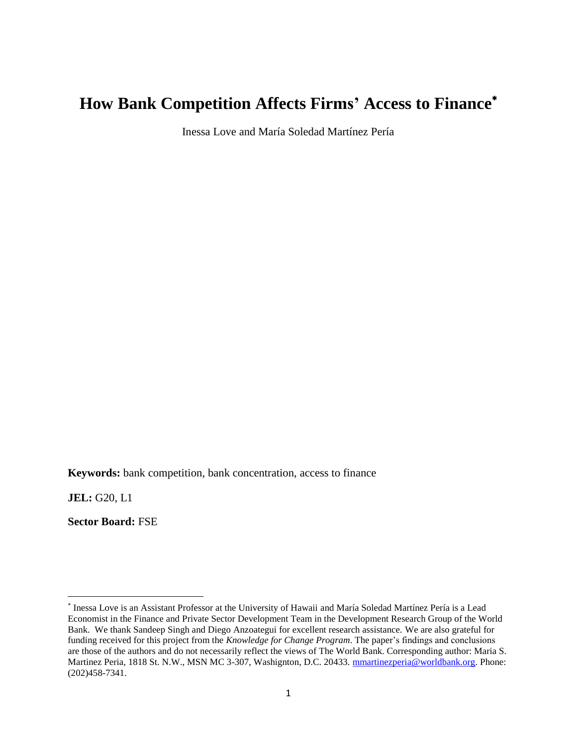## **How Bank Competition Affects Firms' Access to Finance**

Inessa Love and María Soledad Martínez Pería

**Keywords:** bank competition, bank concentration, access to finance

**JEL:** G20, L1

 $\overline{\phantom{a}}$ 

**Sector Board:** FSE

 Inessa Love is an Assistant Professor at the University of Hawaii and María Soledad Martínez Pería is a Lead Economist in the Finance and Private Sector Development Team in the Development Research Group of the World Bank. We thank Sandeep Singh and Diego Anzoategui for excellent research assistance. We are also grateful for funding received for this project from the *Knowledge for Change Program*. The paper's findings and conclusions are those of the authors and do not necessarily reflect the views of The World Bank. Corresponding author: Maria S. Martinez Peria, 1818 St. N.W., MSN MC 3-307, Washignton, D.C. 20433. [mmartinezperia@worldbank.org.](mailto:mmartinezperia@worldbank.org) Phone: (202)458-7341.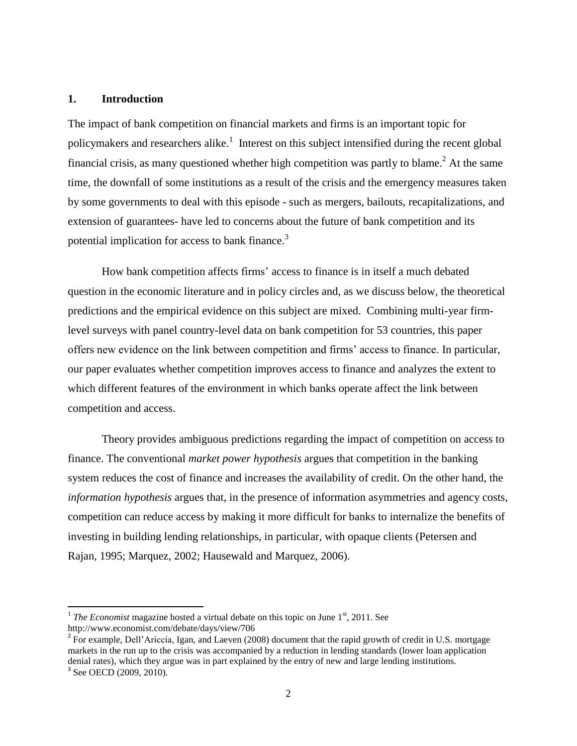#### **1. Introduction**

The impact of bank competition on financial markets and firms is an important topic for policymakers and researchers alike.<sup>1</sup> Interest on this subject intensified during the recent global financial crisis, as many questioned whether high competition was partly to blame.<sup>2</sup> At the same time, the downfall of some institutions as a result of the crisis and the emergency measures taken by some governments to deal with this episode - such as mergers, bailouts, recapitalizations, and extension of guarantees- have led to concerns about the future of bank competition and its potential implication for access to bank finance. $3$ 

How bank competition affects firms' access to finance is in itself a much debated question in the economic literature and in policy circles and, as we discuss below, the theoretical predictions and the empirical evidence on this subject are mixed. Combining multi-year firmlevel surveys with panel country-level data on bank competition for 53 countries, this paper offers new evidence on the link between competition and firms' access to finance. In particular, our paper evaluates whether competition improves access to finance and analyzes the extent to which different features of the environment in which banks operate affect the link between competition and access.

Theory provides ambiguous predictions regarding the impact of competition on access to finance. The conventional *market power hypothesis* argues that competition in the banking system reduces the cost of finance and increases the availability of credit. On the other hand, the *information hypothesis* argues that, in the presence of information asymmetries and agency costs, competition can reduce access by making it more difficult for banks to internalize the benefits of investing in building lending relationships, in particular, with opaque clients (Petersen and Rajan, 1995; Marquez, 2002; Hausewald and Marquez, 2006).

<sup>&</sup>lt;sup>1</sup> The Economist magazine hosted a virtual debate on this topic on June 1<sup>st</sup>, 2011. See http://www.economist.com/debate/days/view/706

 $2^{2}$  For example, Dell'Ariccia, Igan, and Laeven (2008) document that the rapid growth of credit in U.S. mortgage markets in the run up to the crisis was accompanied by a reduction in lending standards (lower loan application denial rates), which they argue was in part explained by the entry of new and large lending institutions. <sup>3</sup> See OECD (2009, 2010).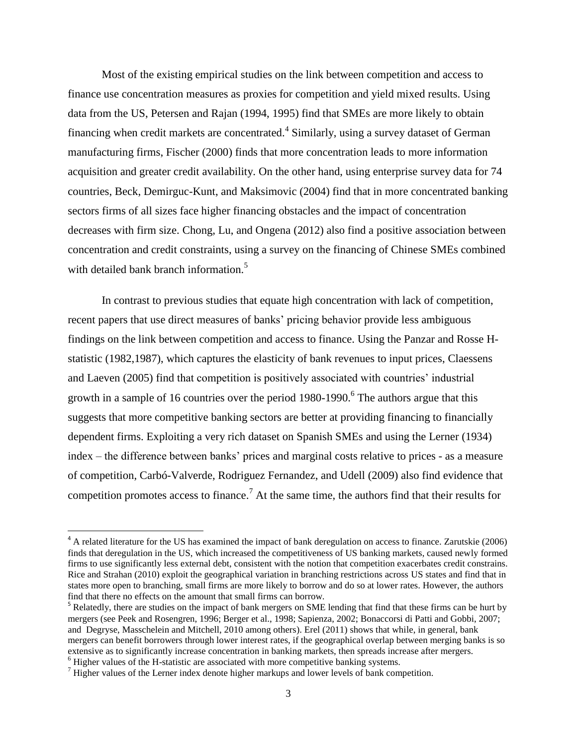Most of the existing empirical studies on the link between competition and access to finance use concentration measures as proxies for competition and yield mixed results. Using data from the US, Petersen and Rajan (1994, 1995) find that SMEs are more likely to obtain financing when credit markets are concentrated.<sup>4</sup> Similarly, using a survey dataset of German manufacturing firms, Fischer (2000) finds that more concentration leads to more information acquisition and greater credit availability. On the other hand, using enterprise survey data for 74 countries, Beck, Demirguc-Kunt, and Maksimovic (2004) find that in more concentrated banking sectors firms of all sizes face higher financing obstacles and the impact of concentration decreases with firm size. Chong, Lu, and Ongena (2012) also find a positive association between concentration and credit constraints, using a survey on the financing of Chinese SMEs combined with detailed bank branch information.<sup>5</sup>

In contrast to previous studies that equate high concentration with lack of competition, recent papers that use direct measures of banks' pricing behavior provide less ambiguous findings on the link between competition and access to finance. Using the Panzar and Rosse Hstatistic (1982,1987), which captures the elasticity of bank revenues to input prices, Claessens and Laeven (2005) find that competition is positively associated with countries' industrial growth in a sample of 16 countries over the period  $1980-1990$ .<sup>6</sup> The authors argue that this suggests that more competitive banking sectors are better at providing financing to financially dependent firms. Exploiting a very rich dataset on Spanish SMEs and using the Lerner (1934) index – the difference between banks' prices and marginal costs relative to prices - as a measure of competition, Carbó-Valverde, Rodriguez Fernandez, and Udell (2009) also find evidence that competition promotes access to finance.<sup>7</sup> At the same time, the authors find that their results for

 $\overline{\phantom{a}}$ 

<sup>&</sup>lt;sup>4</sup> A related literature for the US has examined the impact of bank deregulation on access to finance. Zarutskie (2006) finds that deregulation in the US, which increased the competitiveness of US banking markets, caused newly formed firms to use significantly less external debt, consistent with the notion that competition exacerbates credit constrains. Rice and Strahan (2010) exploit the geographical variation in branching restrictions across US states and find that in states more open to branching, small firms are more likely to borrow and do so at lower rates. However, the authors find that there no effects on the amount that small firms can borrow.

<sup>&</sup>lt;sup>5</sup> Relatedly, there are studies on the impact of bank mergers on SME lending that find that these firms can be hurt by mergers (see Peek and Rosengren, 1996; Berger et al., 1998; Sapienza, 2002; Bonaccorsi di Patti and Gobbi, 2007; and Degryse, Masschelein and Mitchell, 2010 among others). Erel (2011) shows that while, in general, bank mergers can benefit borrowers through lower interest rates, if the geographical overlap between merging banks is so extensive as to significantly increase concentration in banking markets, then spreads increase after mergers.  $<sup>6</sup>$  Higher values of the H-statistic are associated with more competitive banking systems.</sup>

 $<sup>7</sup>$  Higher values of the Lerner index denote higher markups and lower levels of bank competition.</sup>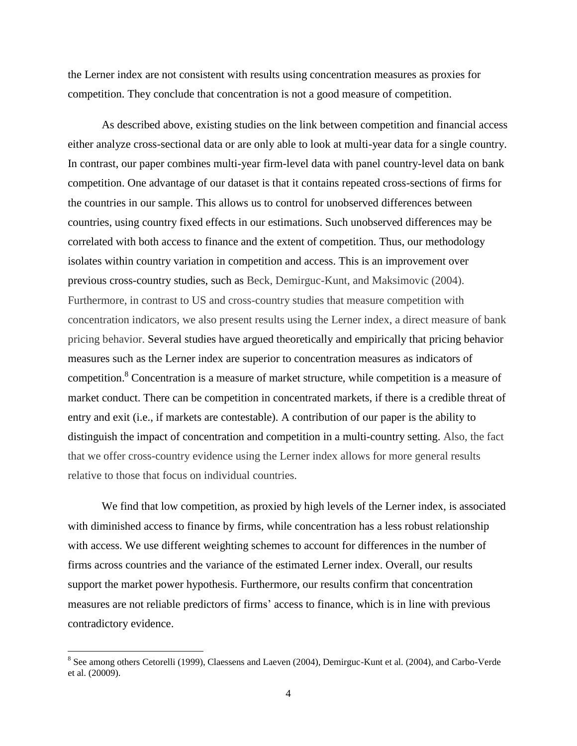the Lerner index are not consistent with results using concentration measures as proxies for competition. They conclude that concentration is not a good measure of competition.

As described above, existing studies on the link between competition and financial access either analyze cross-sectional data or are only able to look at multi-year data for a single country. In contrast, our paper combines multi-year firm-level data with panel country-level data on bank competition. One advantage of our dataset is that it contains repeated cross-sections of firms for the countries in our sample. This allows us to control for unobserved differences between countries, using country fixed effects in our estimations. Such unobserved differences may be correlated with both access to finance and the extent of competition. Thus, our methodology isolates within country variation in competition and access. This is an improvement over previous cross-country studies, such as Beck, Demirguc-Kunt, and Maksimovic (2004). Furthermore, in contrast to US and cross-country studies that measure competition with concentration indicators, we also present results using the Lerner index, a direct measure of bank pricing behavior. Several studies have argued theoretically and empirically that pricing behavior measures such as the Lerner index are superior to concentration measures as indicators of competition.<sup>8</sup> Concentration is a measure of market structure, while competition is a measure of market conduct. There can be competition in concentrated markets, if there is a credible threat of entry and exit (i.e., if markets are contestable). A contribution of our paper is the ability to distinguish the impact of concentration and competition in a multi-country setting. Also, the fact that we offer cross-country evidence using the Lerner index allows for more general results relative to those that focus on individual countries.

We find that low competition, as proxied by high levels of the Lerner index, is associated with diminished access to finance by firms, while concentration has a less robust relationship with access. We use different weighting schemes to account for differences in the number of firms across countries and the variance of the estimated Lerner index. Overall, our results support the market power hypothesis. Furthermore, our results confirm that concentration measures are not reliable predictors of firms' access to finance, which is in line with previous contradictory evidence.

<sup>&</sup>lt;sup>8</sup> See among others Cetorelli (1999), Claessens and Laeven (2004), Demirguc-Kunt et al. (2004), and Carbo-Verde et al. (20009).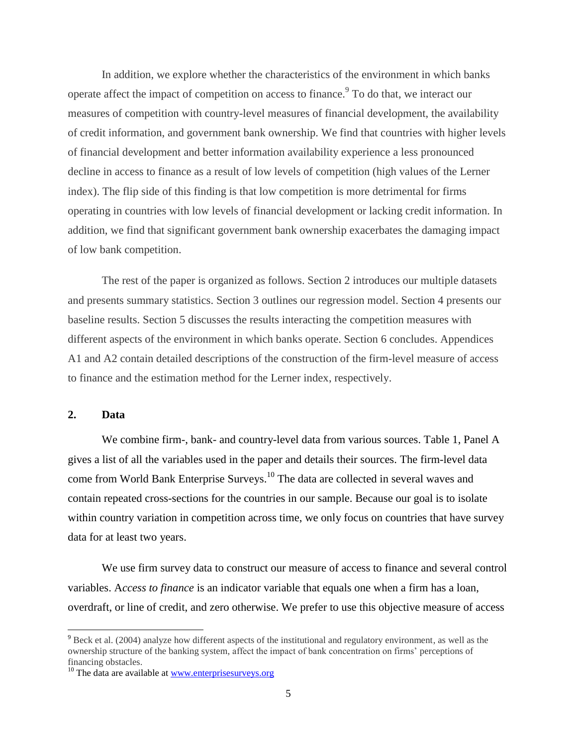In addition, we explore whether the characteristics of the environment in which banks operate affect the impact of competition on access to finance. To do that, we interact our measures of competition with country-level measures of financial development, the availability of credit information, and government bank ownership. We find that countries with higher levels of financial development and better information availability experience a less pronounced decline in access to finance as a result of low levels of competition (high values of the Lerner index). The flip side of this finding is that low competition is more detrimental for firms operating in countries with low levels of financial development or lacking credit information. In addition, we find that significant government bank ownership exacerbates the damaging impact of low bank competition.

The rest of the paper is organized as follows. Section 2 introduces our multiple datasets and presents summary statistics. Section 3 outlines our regression model. Section 4 presents our baseline results. Section 5 discusses the results interacting the competition measures with different aspects of the environment in which banks operate. Section 6 concludes. Appendices A1 and A2 contain detailed descriptions of the construction of the firm-level measure of access to finance and the estimation method for the Lerner index, respectively.

#### **2. Data**

 $\overline{\phantom{a}}$ 

We combine firm-, bank- and country-level data from various sources. Table 1, Panel A gives a list of all the variables used in the paper and details their sources. The firm-level data come from World Bank Enterprise Surveys.<sup>10</sup> The data are collected in several waves and contain repeated cross-sections for the countries in our sample. Because our goal is to isolate within country variation in competition across time, we only focus on countries that have survey data for at least two years.

We use firm survey data to construct our measure of access to finance and several control variables. A*ccess to finance* is an indicator variable that equals one when a firm has a loan, overdraft, or line of credit, and zero otherwise. We prefer to use this objective measure of access

<sup>9</sup> Beck et al. (2004) analyze how different aspects of the institutional and regulatory environment, as well as the ownership structure of the banking system, affect the impact of bank concentration on firms' perceptions of financing obstacles.

 $10$  The data are available at www.enterprisesurveys.org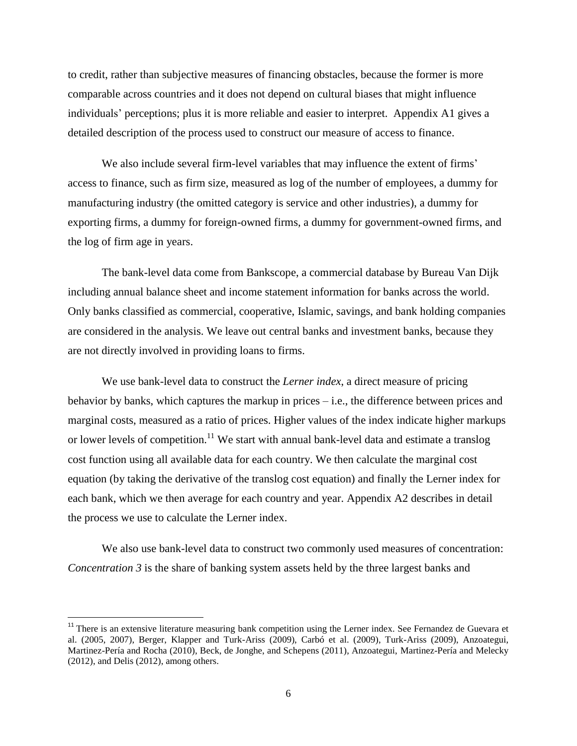to credit, rather than subjective measures of financing obstacles, because the former is more comparable across countries and it does not depend on cultural biases that might influence individuals' perceptions; plus it is more reliable and easier to interpret. Appendix A1 gives a detailed description of the process used to construct our measure of access to finance.

We also include several firm-level variables that may influence the extent of firms' access to finance, such as firm size, measured as log of the number of employees, a dummy for manufacturing industry (the omitted category is service and other industries), a dummy for exporting firms, a dummy for foreign-owned firms, a dummy for government-owned firms, and the log of firm age in years.

The bank-level data come from Bankscope, a commercial database by Bureau Van Dijk including annual balance sheet and income statement information for banks across the world. Only banks classified as commercial, cooperative, Islamic, savings, and bank holding companies are considered in the analysis. We leave out central banks and investment banks, because they are not directly involved in providing loans to firms.

We use bank-level data to construct the *Lerner index*, a direct measure of pricing behavior by banks, which captures the markup in prices – i.e., the difference between prices and marginal costs, measured as a ratio of prices. Higher values of the index indicate higher markups or lower levels of competition.<sup>11</sup> We start with annual bank-level data and estimate a translog cost function using all available data for each country. We then calculate the marginal cost equation (by taking the derivative of the translog cost equation) and finally the Lerner index for each bank, which we then average for each country and year. Appendix A2 describes in detail the process we use to calculate the Lerner index.

We also use bank-level data to construct two commonly used measures of concentration: *Concentration 3* is the share of banking system assets held by the three largest banks and

 $\overline{a}$ 

<sup>&</sup>lt;sup>11</sup> There is an extensive literature measuring bank competition using the Lerner index. See Fernandez de Guevara et al. (2005, 2007), Berger, Klapper and Turk-Ariss (2009), Carbó et al. (2009), Turk-Ariss (2009), Anzoategui, Martinez-Pería and Rocha (2010), Beck, de Jonghe, and Schepens (2011), Anzoategui, Martinez-Pería and Melecky (2012), and Delis (2012), among others.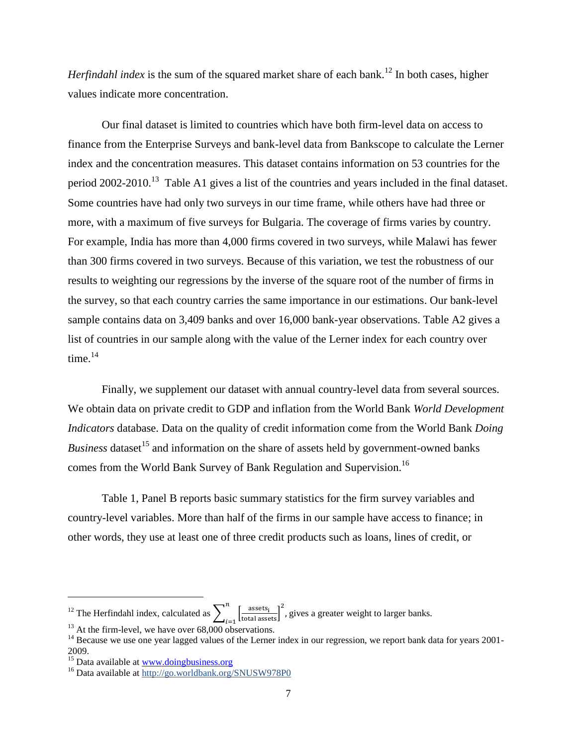*Herfindahl index* is the sum of the squared market share of each bank.<sup>12</sup> In both cases, higher values indicate more concentration.

Our final dataset is limited to countries which have both firm-level data on access to finance from the Enterprise Surveys and bank-level data from Bankscope to calculate the Lerner index and the concentration measures. This dataset contains information on 53 countries for the period 2002-2010.<sup>13</sup> Table A1 gives a list of the countries and years included in the final dataset. Some countries have had only two surveys in our time frame, while others have had three or more, with a maximum of five surveys for Bulgaria. The coverage of firms varies by country. For example, India has more than 4,000 firms covered in two surveys, while Malawi has fewer than 300 firms covered in two surveys. Because of this variation, we test the robustness of our results to weighting our regressions by the inverse of the square root of the number of firms in the survey, so that each country carries the same importance in our estimations. Our bank-level sample contains data on 3,409 banks and over 16,000 bank-year observations. Table A2 gives a list of countries in our sample along with the value of the Lerner index for each country over time. 14

Finally, we supplement our dataset with annual country-level data from several sources. We obtain data on private credit to GDP and inflation from the World Bank *World Development Indicators* database. Data on the quality of credit information come from the World Bank *Doing Business* dataset<sup>15</sup> and information on the share of assets held by government-owned banks comes from the World Bank Survey of Bank Regulation and Supervision.<sup>16</sup>

Table 1, Panel B reports basic summary statistics for the firm survey variables and country-level variables. More than half of the firms in our sample have access to finance; in other words, they use at least one of three credit products such as loans, lines of credit, or

<sup>12</sup> The Herfindahl index, calculated as  $\sum_{i=1}^{12}$ n  $e_{i=1}$   $\frac{dSSE(S_i)}{dSSE(S_i)}$ , gives a greater weight to larger banks.

 $\overline{\phantom{a}}$ 

 $^{13}$  At the firm-level, we have over 68,000 observations.

 $14$  Because we use one year lagged values of the Lerner index in our regression, we report bank data for years 2001-2009.

<sup>&</sup>lt;sup>15</sup> Data available at www.doingbusiness.org

<sup>&</sup>lt;sup>16</sup> Data available a[t http://go.worldbank.org/SNUSW978P0](http://go.worldbank.org/SNUSW978P0)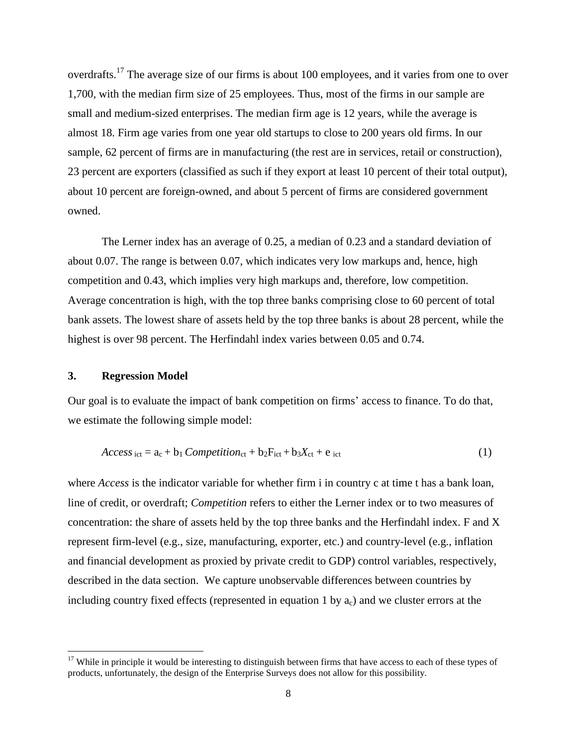overdrafts.<sup>17</sup> The average size of our firms is about 100 employees, and it varies from one to over 1,700, with the median firm size of 25 employees. Thus, most of the firms in our sample are small and medium-sized enterprises. The median firm age is 12 years, while the average is almost 18. Firm age varies from one year old startups to close to 200 years old firms. In our sample, 62 percent of firms are in manufacturing (the rest are in services, retail or construction), 23 percent are exporters (classified as such if they export at least 10 percent of their total output), about 10 percent are foreign-owned, and about 5 percent of firms are considered government owned.

The Lerner index has an average of 0.25, a median of 0.23 and a standard deviation of about 0.07. The range is between 0.07, which indicates very low markups and, hence, high competition and 0.43, which implies very high markups and, therefore, low competition. Average concentration is high, with the top three banks comprising close to 60 percent of total bank assets. The lowest share of assets held by the top three banks is about 28 percent, while the highest is over 98 percent. The Herfindahl index varies between 0.05 and 0.74.

#### **3. Regression Model**

 $\overline{\phantom{a}}$ 

Our goal is to evaluate the impact of bank competition on firms' access to finance. To do that, we estimate the following simple model:

$$
Access_{ict} = a_c + b_1 \, competition_{ct} + b_2F_{ict} + b_3X_{ct} + e_{ict}
$$
 (1)

where *Access* is the indicator variable for whether firm i in country c at time t has a bank loan, line of credit, or overdraft; *Competition* refers to either the Lerner index or to two measures of concentration: the share of assets held by the top three banks and the Herfindahl index. F and X represent firm-level (e.g., size, manufacturing, exporter, etc.) and country-level (e.g., inflation and financial development as proxied by private credit to GDP) control variables, respectively, described in the data section. We capture unobservable differences between countries by including country fixed effects (represented in equation 1 by  $a_c$ ) and we cluster errors at the

 $17$  While in principle it would be interesting to distinguish between firms that have access to each of these types of products, unfortunately, the design of the Enterprise Surveys does not allow for this possibility.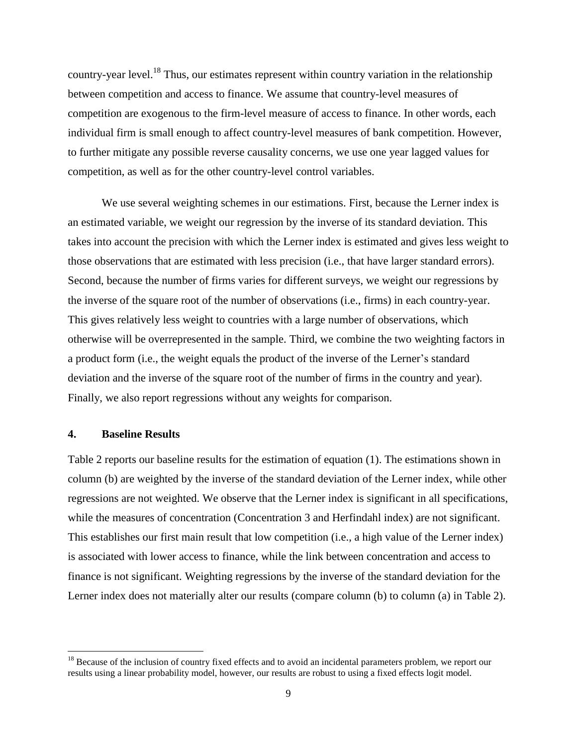country-year level.<sup>18</sup> Thus, our estimates represent within country variation in the relationship between competition and access to finance. We assume that country-level measures of competition are exogenous to the firm-level measure of access to finance. In other words, each individual firm is small enough to affect country-level measures of bank competition. However, to further mitigate any possible reverse causality concerns, we use one year lagged values for competition, as well as for the other country-level control variables.

We use several weighting schemes in our estimations. First, because the Lerner index is an estimated variable, we weight our regression by the inverse of its standard deviation. This takes into account the precision with which the Lerner index is estimated and gives less weight to those observations that are estimated with less precision (i.e., that have larger standard errors). Second, because the number of firms varies for different surveys, we weight our regressions by the inverse of the square root of the number of observations (i.e., firms) in each country-year. This gives relatively less weight to countries with a large number of observations, which otherwise will be overrepresented in the sample. Third, we combine the two weighting factors in a product form (i.e., the weight equals the product of the inverse of the Lerner's standard deviation and the inverse of the square root of the number of firms in the country and year). Finally, we also report regressions without any weights for comparison.

#### **4. Baseline Results**

 $\overline{\phantom{a}}$ 

Table 2 reports our baseline results for the estimation of equation (1). The estimations shown in column (b) are weighted by the inverse of the standard deviation of the Lerner index, while other regressions are not weighted. We observe that the Lerner index is significant in all specifications, while the measures of concentration (Concentration 3 and Herfindahl index) are not significant. This establishes our first main result that low competition (i.e., a high value of the Lerner index) is associated with lower access to finance, while the link between concentration and access to finance is not significant. Weighting regressions by the inverse of the standard deviation for the Lerner index does not materially alter our results (compare column (b) to column (a) in Table 2).

 $18$  Because of the inclusion of country fixed effects and to avoid an incidental parameters problem, we report our results using a linear probability model, however, our results are robust to using a fixed effects logit model.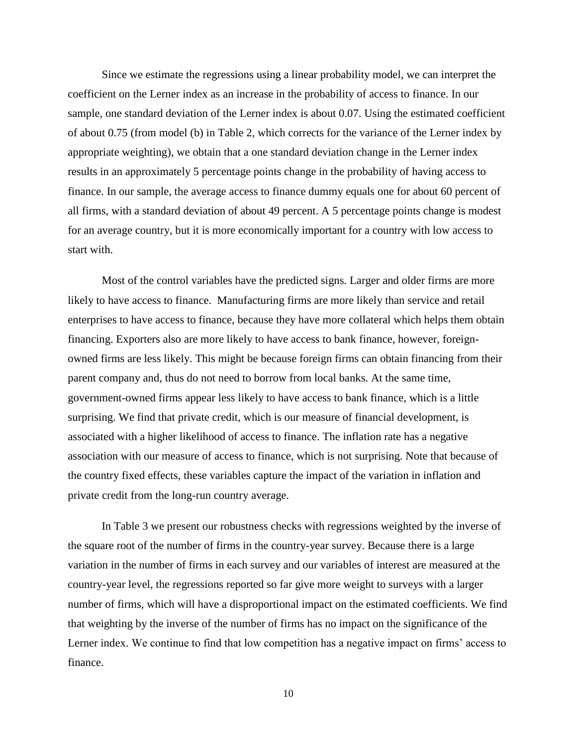Since we estimate the regressions using a linear probability model, we can interpret the coefficient on the Lerner index as an increase in the probability of access to finance. In our sample, one standard deviation of the Lerner index is about 0.07. Using the estimated coefficient of about 0.75 (from model (b) in Table 2, which corrects for the variance of the Lerner index by appropriate weighting), we obtain that a one standard deviation change in the Lerner index results in an approximately 5 percentage points change in the probability of having access to finance. In our sample, the average access to finance dummy equals one for about 60 percent of all firms, with a standard deviation of about 49 percent. A 5 percentage points change is modest for an average country, but it is more economically important for a country with low access to start with.

Most of the control variables have the predicted signs. Larger and older firms are more likely to have access to finance. Manufacturing firms are more likely than service and retail enterprises to have access to finance, because they have more collateral which helps them obtain financing. Exporters also are more likely to have access to bank finance, however, foreignowned firms are less likely. This might be because foreign firms can obtain financing from their parent company and, thus do not need to borrow from local banks. At the same time, government-owned firms appear less likely to have access to bank finance, which is a little surprising. We find that private credit, which is our measure of financial development, is associated with a higher likelihood of access to finance. The inflation rate has a negative association with our measure of access to finance, which is not surprising. Note that because of the country fixed effects, these variables capture the impact of the variation in inflation and private credit from the long-run country average.

In Table 3 we present our robustness checks with regressions weighted by the inverse of the square root of the number of firms in the country-year survey. Because there is a large variation in the number of firms in each survey and our variables of interest are measured at the country-year level, the regressions reported so far give more weight to surveys with a larger number of firms, which will have a disproportional impact on the estimated coefficients. We find that weighting by the inverse of the number of firms has no impact on the significance of the Lerner index. We continue to find that low competition has a negative impact on firms' access to finance.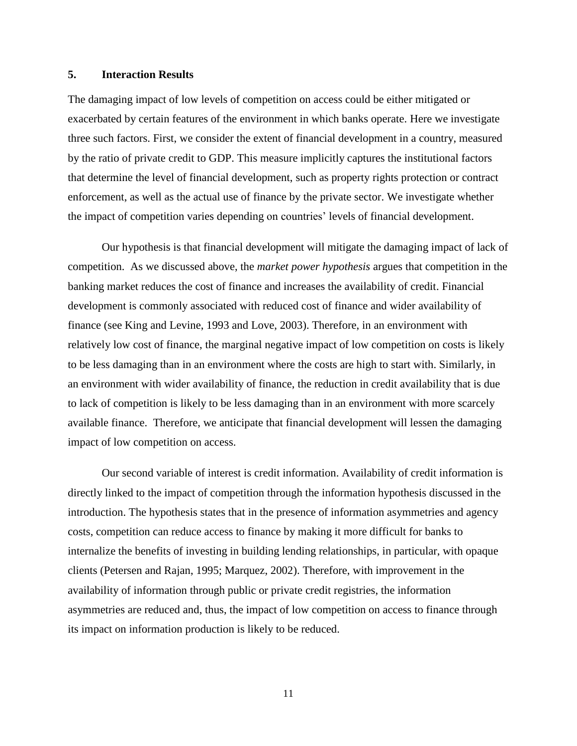#### **5. Interaction Results**

The damaging impact of low levels of competition on access could be either mitigated or exacerbated by certain features of the environment in which banks operate. Here we investigate three such factors. First, we consider the extent of financial development in a country, measured by the ratio of private credit to GDP. This measure implicitly captures the institutional factors that determine the level of financial development, such as property rights protection or contract enforcement, as well as the actual use of finance by the private sector. We investigate whether the impact of competition varies depending on countries' levels of financial development.

Our hypothesis is that financial development will mitigate the damaging impact of lack of competition. As we discussed above, the *market power hypothesis* argues that competition in the banking market reduces the cost of finance and increases the availability of credit. Financial development is commonly associated with reduced cost of finance and wider availability of finance (see King and Levine, 1993 and Love, 2003). Therefore, in an environment with relatively low cost of finance, the marginal negative impact of low competition on costs is likely to be less damaging than in an environment where the costs are high to start with. Similarly, in an environment with wider availability of finance, the reduction in credit availability that is due to lack of competition is likely to be less damaging than in an environment with more scarcely available finance. Therefore, we anticipate that financial development will lessen the damaging impact of low competition on access.

Our second variable of interest is credit information. Availability of credit information is directly linked to the impact of competition through the information hypothesis discussed in the introduction. The hypothesis states that in the presence of information asymmetries and agency costs, competition can reduce access to finance by making it more difficult for banks to internalize the benefits of investing in building lending relationships, in particular, with opaque clients (Petersen and Rajan, 1995; Marquez, 2002). Therefore, with improvement in the availability of information through public or private credit registries, the information asymmetries are reduced and, thus, the impact of low competition on access to finance through its impact on information production is likely to be reduced.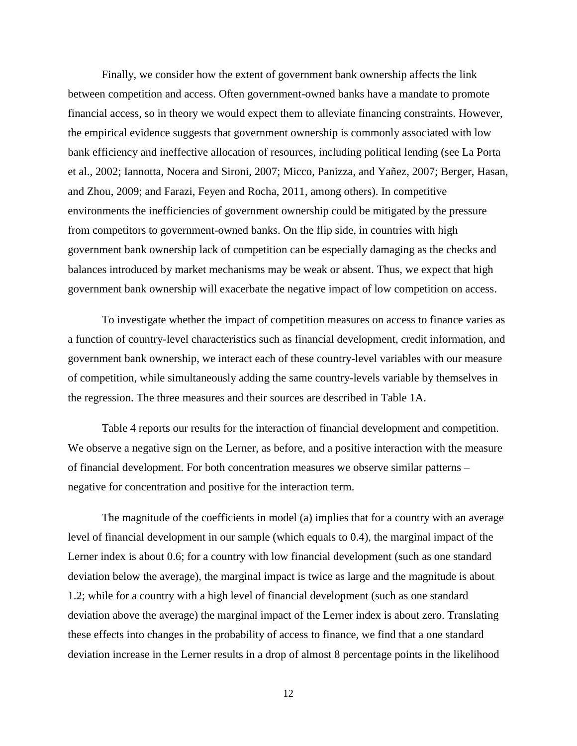Finally, we consider how the extent of government bank ownership affects the link between competition and access. Often government-owned banks have a mandate to promote financial access, so in theory we would expect them to alleviate financing constraints. However, the empirical evidence suggests that government ownership is commonly associated with low bank efficiency and ineffective allocation of resources, including political lending (see La Porta et al., 2002; Iannotta, Nocera and Sironi, 2007; Micco, Panizza, and Yañez, 2007; Berger, Hasan, and Zhou, 2009; and Farazi, Feyen and Rocha, 2011, among others). In competitive environments the inefficiencies of government ownership could be mitigated by the pressure from competitors to government-owned banks. On the flip side, in countries with high government bank ownership lack of competition can be especially damaging as the checks and balances introduced by market mechanisms may be weak or absent. Thus, we expect that high government bank ownership will exacerbate the negative impact of low competition on access.

To investigate whether the impact of competition measures on access to finance varies as a function of country-level characteristics such as financial development, credit information, and government bank ownership, we interact each of these country-level variables with our measure of competition, while simultaneously adding the same country-levels variable by themselves in the regression. The three measures and their sources are described in Table 1A.

Table 4 reports our results for the interaction of financial development and competition. We observe a negative sign on the Lerner, as before, and a positive interaction with the measure of financial development. For both concentration measures we observe similar patterns – negative for concentration and positive for the interaction term.

The magnitude of the coefficients in model (a) implies that for a country with an average level of financial development in our sample (which equals to 0.4), the marginal impact of the Lerner index is about 0.6; for a country with low financial development (such as one standard deviation below the average), the marginal impact is twice as large and the magnitude is about 1.2; while for a country with a high level of financial development (such as one standard deviation above the average) the marginal impact of the Lerner index is about zero. Translating these effects into changes in the probability of access to finance, we find that a one standard deviation increase in the Lerner results in a drop of almost 8 percentage points in the likelihood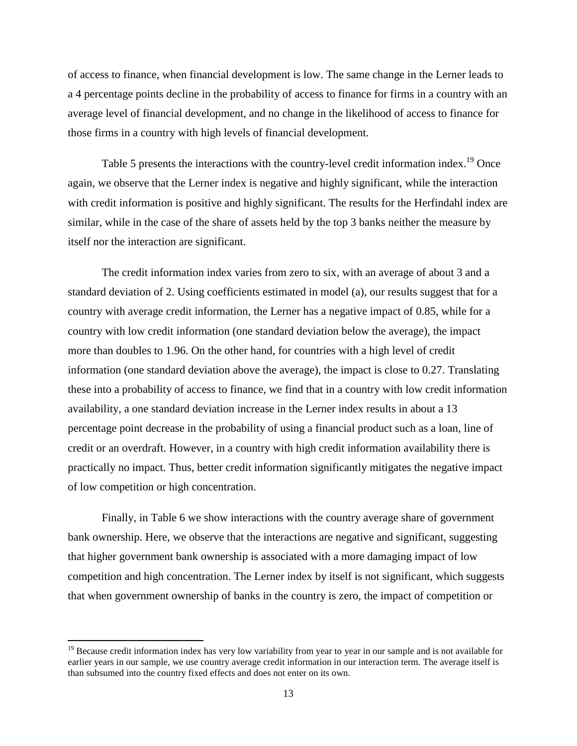of access to finance, when financial development is low. The same change in the Lerner leads to a 4 percentage points decline in the probability of access to finance for firms in a country with an average level of financial development, and no change in the likelihood of access to finance for those firms in a country with high levels of financial development.

Table 5 presents the interactions with the country-level credit information index.<sup>19</sup> Once again, we observe that the Lerner index is negative and highly significant, while the interaction with credit information is positive and highly significant. The results for the Herfindahl index are similar, while in the case of the share of assets held by the top 3 banks neither the measure by itself nor the interaction are significant.

The credit information index varies from zero to six, with an average of about 3 and a standard deviation of 2. Using coefficients estimated in model (a), our results suggest that for a country with average credit information, the Lerner has a negative impact of 0.85, while for a country with low credit information (one standard deviation below the average), the impact more than doubles to 1.96. On the other hand, for countries with a high level of credit information (one standard deviation above the average), the impact is close to 0.27. Translating these into a probability of access to finance, we find that in a country with low credit information availability, a one standard deviation increase in the Lerner index results in about a 13 percentage point decrease in the probability of using a financial product such as a loan, line of credit or an overdraft. However, in a country with high credit information availability there is practically no impact. Thus, better credit information significantly mitigates the negative impact of low competition or high concentration.

Finally, in Table 6 we show interactions with the country average share of government bank ownership. Here, we observe that the interactions are negative and significant, suggesting that higher government bank ownership is associated with a more damaging impact of low competition and high concentration. The Lerner index by itself is not significant, which suggests that when government ownership of banks in the country is zero, the impact of competition or

 $\overline{\phantom{a}}$ 

 $19$  Because credit information index has very low variability from year to year in our sample and is not available for earlier years in our sample, we use country average credit information in our interaction term. The average itself is than subsumed into the country fixed effects and does not enter on its own.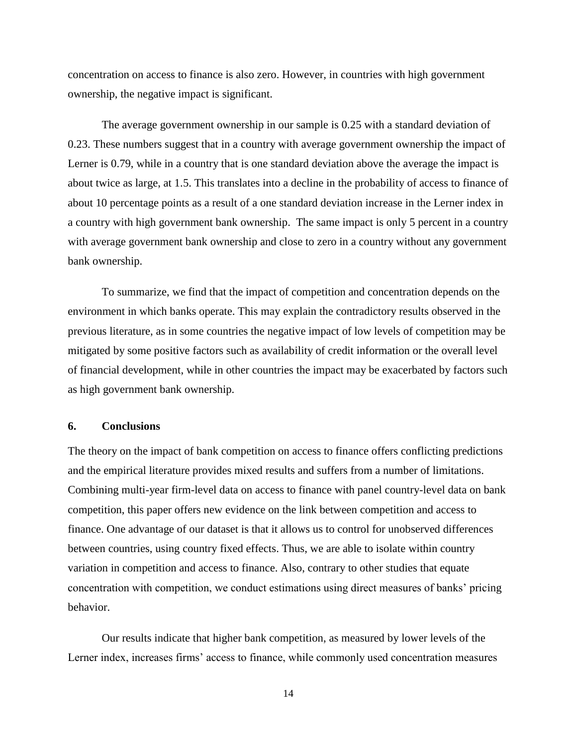concentration on access to finance is also zero. However, in countries with high government ownership, the negative impact is significant.

The average government ownership in our sample is 0.25 with a standard deviation of 0.23. These numbers suggest that in a country with average government ownership the impact of Lerner is 0.79, while in a country that is one standard deviation above the average the impact is about twice as large, at 1.5. This translates into a decline in the probability of access to finance of about 10 percentage points as a result of a one standard deviation increase in the Lerner index in a country with high government bank ownership. The same impact is only 5 percent in a country with average government bank ownership and close to zero in a country without any government bank ownership.

To summarize, we find that the impact of competition and concentration depends on the environment in which banks operate. This may explain the contradictory results observed in the previous literature, as in some countries the negative impact of low levels of competition may be mitigated by some positive factors such as availability of credit information or the overall level of financial development, while in other countries the impact may be exacerbated by factors such as high government bank ownership.

#### **6. Conclusions**

The theory on the impact of bank competition on access to finance offers conflicting predictions and the empirical literature provides mixed results and suffers from a number of limitations. Combining multi-year firm-level data on access to finance with panel country-level data on bank competition, this paper offers new evidence on the link between competition and access to finance. One advantage of our dataset is that it allows us to control for unobserved differences between countries, using country fixed effects. Thus, we are able to isolate within country variation in competition and access to finance. Also, contrary to other studies that equate concentration with competition, we conduct estimations using direct measures of banks' pricing behavior.

Our results indicate that higher bank competition, as measured by lower levels of the Lerner index, increases firms' access to finance, while commonly used concentration measures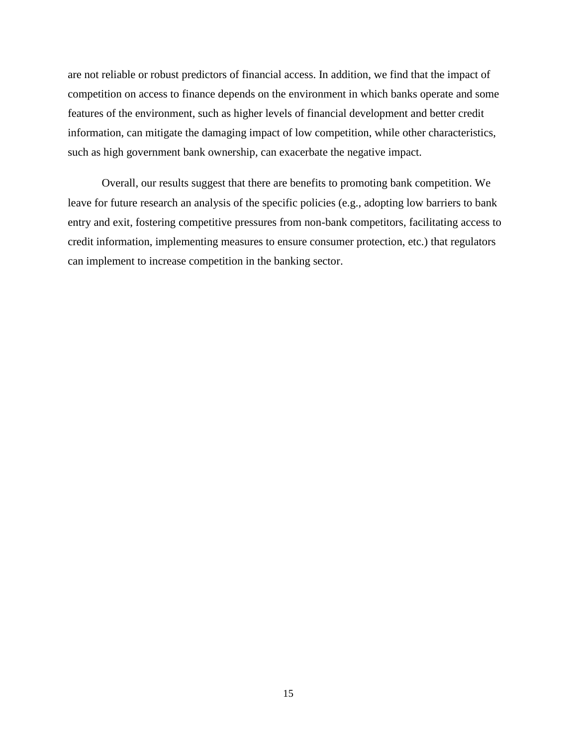are not reliable or robust predictors of financial access. In addition, we find that the impact of competition on access to finance depends on the environment in which banks operate and some features of the environment, such as higher levels of financial development and better credit information, can mitigate the damaging impact of low competition, while other characteristics, such as high government bank ownership, can exacerbate the negative impact.

Overall, our results suggest that there are benefits to promoting bank competition. We leave for future research an analysis of the specific policies (e.g., adopting low barriers to bank entry and exit, fostering competitive pressures from non-bank competitors, facilitating access to credit information, implementing measures to ensure consumer protection, etc.) that regulators can implement to increase competition in the banking sector.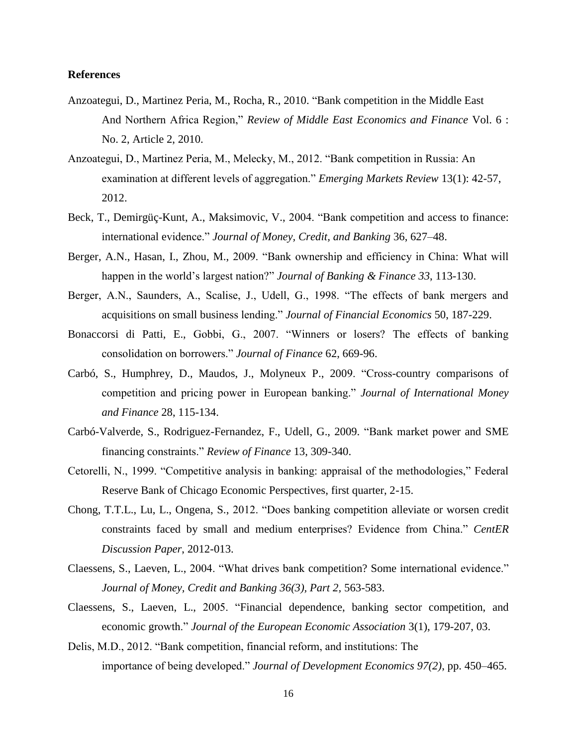#### **References**

- Anzoategui, D., Martinez Peria, M., Rocha, R., 2010. "Bank competition in the Middle East And Northern Africa Region," *Review of Middle East Economics and Finance* Vol. 6 : No. 2, Article 2, 2010.
- Anzoategui, D., Martinez Peria, M., Melecky, M., 2012. "Bank competition in Russia: An examination at different levels of aggregation." *Emerging Markets Review* 13(1): 42-57, 2012.
- Beck, T., Demirgüç-Kunt, A., Maksimovic, V., 2004. "Bank competition and access to finance: international evidence." *Journal of Money, Credit, and Banking* 36, 627–48.
- Berger, A.N., Hasan, I., Zhou, M., 2009. "Bank ownership and efficiency in China: What will happen in the world's largest nation?" *Journal of Banking & Finance 33*, 113-130.
- Berger, A.N., Saunders, A., Scalise, J., Udell, G., 1998. "The effects of bank mergers and acquisitions on small business lending." *Journal of Financial Economics* 50, 187-229.
- Bonaccorsi di Patti, E., Gobbi, G., 2007. "Winners or losers? The effects of banking consolidation on borrowers." *Journal of Finance* 62, 669-96.
- Carbó, S., Humphrey, D., Maudos, J., Molyneux P., 2009. "Cross-country comparisons of competition and pricing power in European banking." *Journal of International Money and Finance* 28, 115-134.
- Carbó-Valverde, S., Rodriguez-Fernandez, F., Udell, G., 2009. "Bank market power and SME financing constraints." *Review of Finance* 13, 309-340.
- Cetorelli, N., 1999. "Competitive analysis in banking: appraisal of the methodologies," Federal Reserve Bank of Chicago Economic Perspectives, first quarter, 2-15.
- Chong, T.T.L., Lu, L., Ongena, S., 2012. "Does banking competition alleviate or worsen credit constraints faced by small and medium enterprises? Evidence from China." *CentER Discussion Paper*, 2012-013.
- Claessens, S., Laeven, L., 2004. "What drives bank competition? Some international evidence." *Journal of Money, Credit and Banking 36(3), Part 2,* 563-583.
- Claessens, S., Laeven, L., 2005. "Financial dependence, banking sector competition, and economic growth." *Journal of the European Economic Association* 3(1), 179-207, 03.
- Delis, M.D., 2012. "Bank competition, financial reform, and institutions: The importance of being developed." *Journal of Development Economics 97(2)*, pp. 450–465.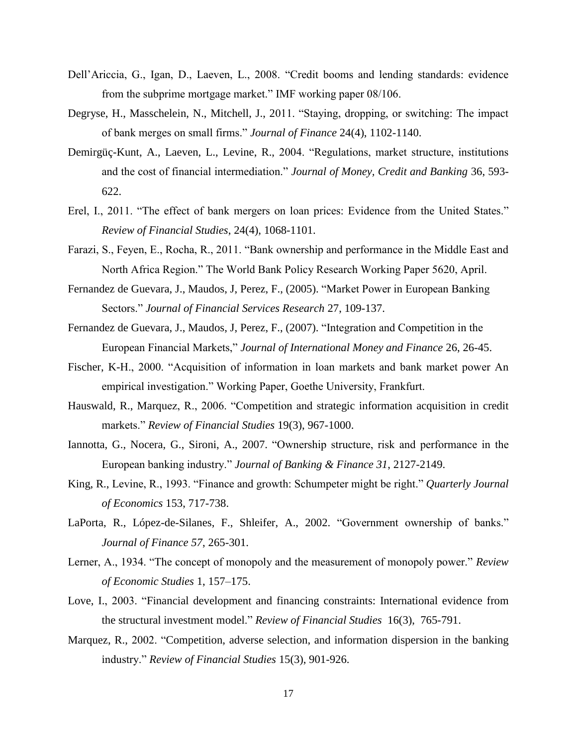- Dell'Ariccia, G., Igan, D., Laeven, L., 2008. "Credit booms and lending standards: evidence from the subprime mortgage market." IMF working paper 08/106.
- Degryse, H., Masschelein, N., Mitchell, J., 2011. "Staying, dropping, or switching: The impact of bank merges on small firms." *Journal of Finance* 24(4), 1102-1140.
- Demirgüç-Kunt, A., Laeven, L., Levine, R., 2004. "Regulations, market structure, institutions and the cost of financial intermediation." *Journal of Money, Credit and Banking* 36, 593- 622.
- Erel, I., 2011. "The effect of bank mergers on loan prices: Evidence from the United States." *Review of Financial Studies*, 24(4), 1068-1101.
- Farazi, S., Feyen, E., Rocha, R., 2011. "Bank ownership and performance in the Middle East and North Africa Region." The World Bank Policy Research Working Paper 5620, April.
- Fernandez de Guevara, J., Maudos, J, Perez, F., (2005). "Market Power in European Banking Sectors." *Journal of Financial Services Research* 27, 109-137.
- Fernandez de Guevara, J., Maudos, J, Perez, F., (2007). "Integration and Competition in the European Financial Markets," *Journal of International Money and Finance* 26, 26-45.
- Fischer, K-H., 2000. "Acquisition of information in loan markets and bank market power An empirical investigation." Working Paper, Goethe University, Frankfurt.
- Hauswald, R., Marquez, R., 2006. "Competition and strategic information acquisition in credit markets." *Review of Financial Studies* 19(3), 967-1000.
- Iannotta, G., Nocera, G., Sironi, A., 2007. "Ownership structure, risk and performance in the European banking industry." *Journal of Banking & Finance 31*, 2127-2149.
- King, R., Levine, R., 1993. "Finance and growth: Schumpeter might be right." *Quarterly Journal of Economics* 153, 717-738.
- LaPorta, R., López-de-Silanes, F., Shleifer, A., 2002. "Government ownership of banks." *Journal of Finance 57*, 265-301.
- Lerner, A., 1934. "The concept of monopoly and the measurement of monopoly power." *Review of Economic Studies* 1, 157–175.
- Love, I., 2003. "Financial development and financing constraints: International evidence from the structural investment model." *[Review of Financial Studies](http://rfs.oxfordjournals.org/)* [16\(3\),](http://rfs.oxfordjournals.org/content/16/3.toc) 765-791.
- Marquez, R., 2002. "Competition, adverse selection, and information dispersion in the banking industry." *Review of Financial Studies* 15(3), 901-926.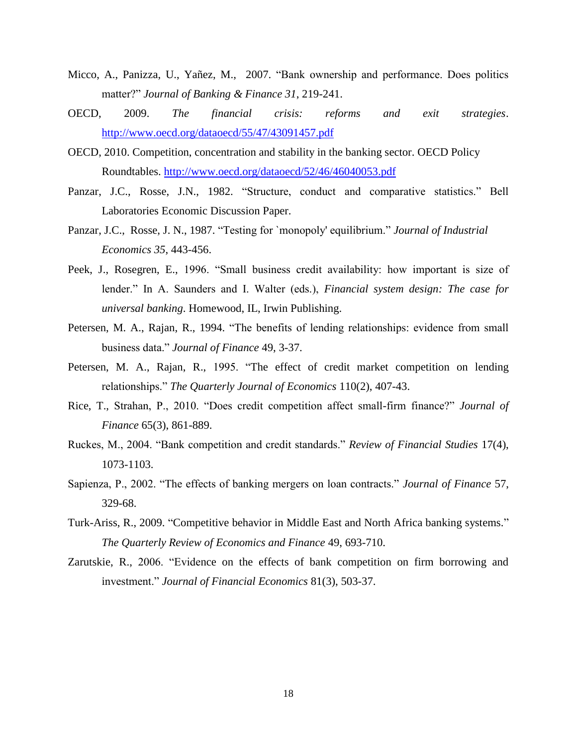- Micco, A., Panizza, U., Yañez, M., 2007. "Bank ownership and performance. Does politics matter?" *Journal of Banking & Finance 31*, 219-241.
- OECD, 2009. *The financial crisis: reforms and exit strategies*. <http://www.oecd.org/dataoecd/55/47/43091457.pdf>
- OECD, 2010. Competition, concentration and stability in the banking sector. OECD Policy Roundtables.<http://www.oecd.org/dataoecd/52/46/46040053.pdf>
- Panzar, J.C., Rosse, J.N., 1982. "Structure, conduct and comparative statistics." Bell Laboratories Economic Discussion Paper.
- Panzar, J.C., Rosse, J. N., 1987. "Testing for `monopoly' equilibrium." *Journal of Industrial Economics 35*, 443-456.
- Peek, J., Rosegren, E., 1996. "Small business credit availability: how important is size of lender." In A. Saunders and I. Walter (eds.), *Financial system design: The case for universal banking*. Homewood, IL, Irwin Publishing.
- Petersen, M. A., Rajan, R., 1994. "The benefits of lending relationships: evidence from small business data." *Journal of Finance* 49, 3-37.
- Petersen, M. A., Rajan, R., 1995. "The effect of credit market competition on lending relationships." *The Quarterly Journal of Economics* 110(2), 407-43.
- Rice, T., Strahan, P., 2010. "Does credit competition affect small-firm finance?" *Journal of Finance* 65(3), 861-889.
- Ruckes, M., 2004. "Bank competition and credit standards." *Review of Financial Studies* 17(4), 1073-1103.
- Sapienza, P., 2002. "The effects of banking mergers on loan contracts." *Journal of Finance* 57, 329-68.
- Turk-Ariss, R., 2009. "Competitive behavior in Middle East and North Africa banking systems." *The Quarterly Review of Economics and Finance* 49, 693-710.
- Zarutskie, R., 2006. "Evidence on the effects of bank competition on firm borrowing and investment." *Journal of Financial Economics* 81(3), 503-37.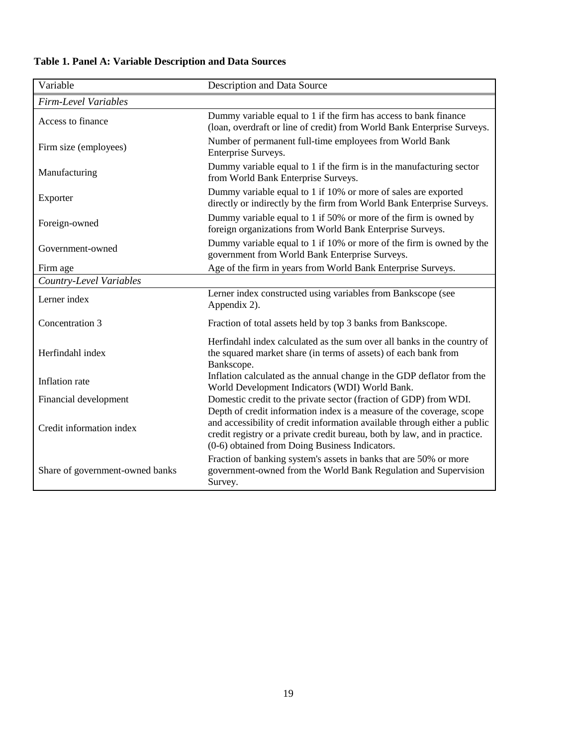| Variable                        | <b>Description and Data Source</b>                                                                                                                                                                                                                                                |
|---------------------------------|-----------------------------------------------------------------------------------------------------------------------------------------------------------------------------------------------------------------------------------------------------------------------------------|
| Firm-Level Variables            |                                                                                                                                                                                                                                                                                   |
| Access to finance               | Dummy variable equal to 1 if the firm has access to bank finance<br>(loan, overdraft or line of credit) from World Bank Enterprise Surveys.                                                                                                                                       |
| Firm size (employees)           | Number of permanent full-time employees from World Bank<br>Enterprise Surveys.                                                                                                                                                                                                    |
| Manufacturing                   | Dummy variable equal to 1 if the firm is in the manufacturing sector<br>from World Bank Enterprise Surveys.                                                                                                                                                                       |
| Exporter                        | Dummy variable equal to 1 if 10% or more of sales are exported<br>directly or indirectly by the firm from World Bank Enterprise Surveys.                                                                                                                                          |
| Foreign-owned                   | Dummy variable equal to 1 if 50% or more of the firm is owned by<br>foreign organizations from World Bank Enterprise Surveys.                                                                                                                                                     |
| Government-owned                | Dummy variable equal to 1 if 10% or more of the firm is owned by the<br>government from World Bank Enterprise Surveys.                                                                                                                                                            |
| Firm age                        | Age of the firm in years from World Bank Enterprise Surveys.                                                                                                                                                                                                                      |
| Country-Level Variables         |                                                                                                                                                                                                                                                                                   |
| Lerner index                    | Lerner index constructed using variables from Bankscope (see<br>Appendix 2).                                                                                                                                                                                                      |
| Concentration 3                 | Fraction of total assets held by top 3 banks from Bankscope.                                                                                                                                                                                                                      |
| Herfindahl index                | Herfindahl index calculated as the sum over all banks in the country of<br>the squared market share (in terms of assets) of each bank from<br>Bankscope.                                                                                                                          |
| Inflation rate                  | Inflation calculated as the annual change in the GDP deflator from the<br>World Development Indicators (WDI) World Bank.                                                                                                                                                          |
| Financial development           | Domestic credit to the private sector (fraction of GDP) from WDI.                                                                                                                                                                                                                 |
| Credit information index        | Depth of credit information index is a measure of the coverage, scope<br>and accessibility of credit information available through either a public<br>credit registry or a private credit bureau, both by law, and in practice.<br>(0-6) obtained from Doing Business Indicators. |
| Share of government-owned banks | Fraction of banking system's assets in banks that are 50% or more<br>government-owned from the World Bank Regulation and Supervision<br>Survey.                                                                                                                                   |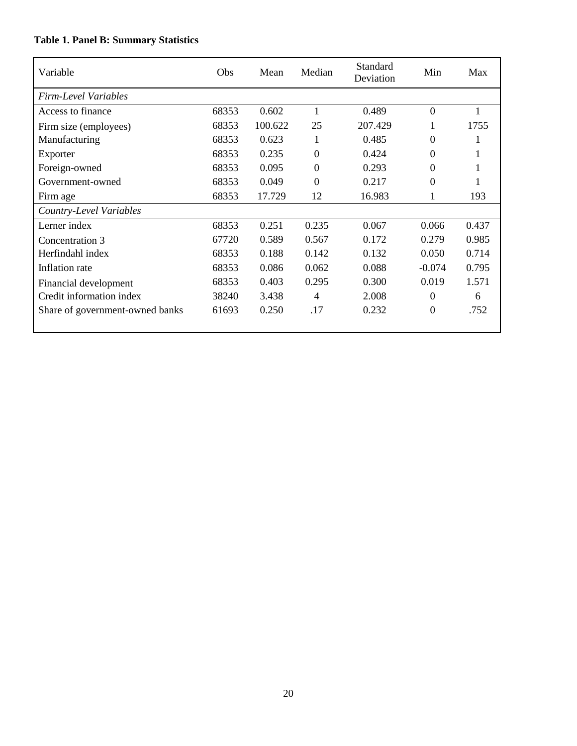## **Table 1. Panel B: Summary Statistics**

| Variable                        | Obs   | Mean    | Median         | Standard<br>Deviation | Min              | Max   |
|---------------------------------|-------|---------|----------------|-----------------------|------------------|-------|
| Firm-Level Variables            |       |         |                |                       |                  |       |
| Access to finance               | 68353 | 0.602   | 1              | 0.489                 | $\overline{0}$   | 1     |
| Firm size (employees)           | 68353 | 100.622 | 25             | 207.429               | 1                | 1755  |
| Manufacturing                   | 68353 | 0.623   | 1              | 0.485                 | $\Omega$         | 1     |
| Exporter                        | 68353 | 0.235   | $\theta$       | 0.424                 | $\mathbf{0}$     | 1     |
| Foreign-owned                   | 68353 | 0.095   | $\theta$       | 0.293                 | $\theta$         | 1     |
| Government-owned                | 68353 | 0.049   | $\theta$       | 0.217                 | $\theta$         |       |
| Firm age                        | 68353 | 17.729  | 12             | 16.983                | 1                | 193   |
| Country-Level Variables         |       |         |                |                       |                  |       |
| Lerner index                    | 68353 | 0.251   | 0.235          | 0.067                 | 0.066            | 0.437 |
| Concentration 3                 | 67720 | 0.589   | 0.567          | 0.172                 | 0.279            | 0.985 |
| Herfindahl index                | 68353 | 0.188   | 0.142          | 0.132                 | 0.050            | 0.714 |
| Inflation rate                  | 68353 | 0.086   | 0.062          | 0.088                 | $-0.074$         | 0.795 |
| Financial development           | 68353 | 0.403   | 0.295          | 0.300                 | 0.019            | 1.571 |
| Credit information index        | 38240 | 3.438   | $\overline{4}$ | 2.008                 | 0                | 6     |
| Share of government-owned banks | 61693 | 0.250   | .17            | 0.232                 | $\boldsymbol{0}$ | .752  |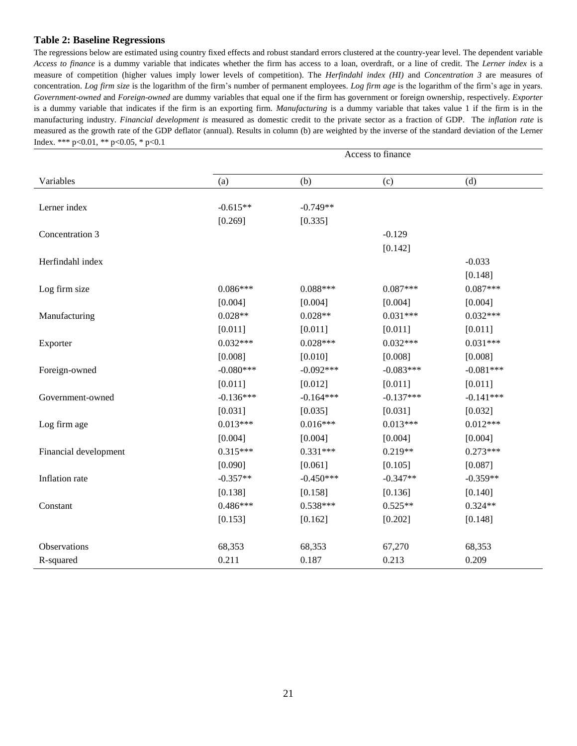#### **Table 2: Baseline Regressions**

The regressions below are estimated using country fixed effects and robust standard errors clustered at the country-year level. The dependent variable *Access to finance* is a dummy variable that indicates whether the firm has access to a loan, overdraft, or a line of credit. The *Lerner index* is a measure of competition (higher values imply lower levels of competition). The *Herfindahl index (HI)* and *Concentration 3* are measures of concentration. *Log firm size* is the logarithm of the firm's number of permanent employees. *Log firm age* is the logarithm of the firm's age in years. *Government-owned* and *Foreign-owned* are dummy variables that equal one if the firm has government or foreign ownership, respectively. *Exporter* is a dummy variable that indicates if the firm is an exporting firm. *Manufacturing* is a dummy variable that takes value 1 if the firm is in the manufacturing industry. *Financial development is* measured as domestic credit to the private sector as a fraction of GDP. The *inflation rate* is measured as the growth rate of the GDP deflator (annual). Results in column (b) are weighted by the inverse of the standard deviation of the Lerner Index. \*\*\* p<0.01, \*\* p<0.05, \* p<0.1

|                       |             |             | Access to finance |             |
|-----------------------|-------------|-------------|-------------------|-------------|
| Variables             | (a)         | (b)         | (c)               | (d)         |
| Lerner index          | $-0.615**$  | $-0.749**$  |                   |             |
|                       | [0.269]     | [0.335]     |                   |             |
| Concentration 3       |             |             | $-0.129$          |             |
|                       |             |             | [0.142]           |             |
| Herfindahl index      |             |             |                   | $-0.033$    |
|                       |             |             |                   | [0.148]     |
| Log firm size         | $0.086***$  | $0.088***$  | $0.087***$        | $0.087***$  |
|                       | [0.004]     | [0.004]     | [0.004]           | [0.004]     |
| Manufacturing         | $0.028**$   | $0.028**$   | $0.031***$        | $0.032***$  |
|                       | [0.011]     | [0.011]     | [0.011]           | [0.011]     |
| Exporter              | $0.032***$  | $0.028***$  | $0.032***$        | $0.031***$  |
|                       | [0.008]     | [0.010]     | [0.008]           | [0.008]     |
| Foreign-owned         | $-0.080***$ | $-0.092***$ | $-0.083***$       | $-0.081***$ |
|                       | [0.011]     | [0.012]     | [0.011]           | [0.011]     |
| Government-owned      | $-0.136***$ | $-0.164***$ | $-0.137***$       | $-0.141***$ |
|                       | [0.031]     | [0.035]     | [0.031]           | [0.032]     |
| Log firm age          | $0.013***$  | $0.016***$  | $0.013***$        | $0.012***$  |
|                       | [0.004]     | [0.004]     | [0.004]           | [0.004]     |
| Financial development | $0.315***$  | $0.331***$  | $0.219**$         | $0.273***$  |
|                       | [0.090]     | [0.061]     | [0.105]           | [0.087]     |
| Inflation rate        | $-0.357**$  | $-0.450***$ | $-0.347**$        | $-0.359**$  |
|                       | [0.138]     | [0.158]     | [0.136]           | [0.140]     |
| Constant              | $0.486***$  | $0.538***$  | $0.525**$         | $0.324**$   |
|                       | [0.153]     | [0.162]     | [0.202]           | [0.148]     |
| Observations          | 68,353      | 68,353      | 67,270            | 68,353      |
| R-squared             | 0.211       | 0.187       | 0.213             | 0.209       |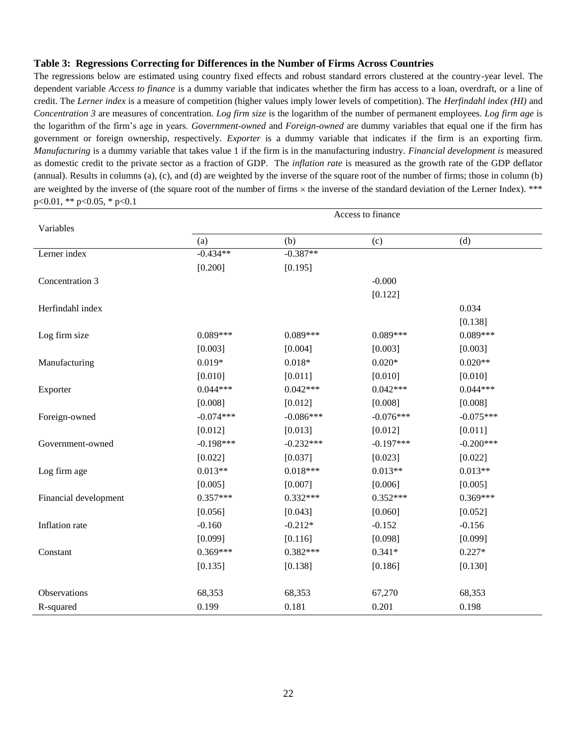#### **Table 3: Regressions Correcting for Differences in the Number of Firms Across Countries**

The regressions below are estimated using country fixed effects and robust standard errors clustered at the country-year level. The dependent variable *Access to finance* is a dummy variable that indicates whether the firm has access to a loan, overdraft, or a line of credit. The *Lerner index* is a measure of competition (higher values imply lower levels of competition). The *Herfindahl index (HI)* and *Concentration 3* are measures of concentration. *Log firm size* is the logarithm of the number of permanent employees. *Log firm age* is the logarithm of the firm's age in years. *Government-owned* and *Foreign-owned* are dummy variables that equal one if the firm has government or foreign ownership, respectively. *Exporter* is a dummy variable that indicates if the firm is an exporting firm. *Manufacturing* is a dummy variable that takes value 1 if the firm is in the manufacturing industry. *Financial development is* measured as domestic credit to the private sector as a fraction of GDP. The *inflation rate* is measured as the growth rate of the GDP deflator (annual). Results in columns (a), (c), and (d) are weighted by the inverse of the square root of the number of firms; those in column (b) are weighted by the inverse of (the square root of the number of firms  $\times$  the inverse of the standard deviation of the Lerner Index). \*\*\* p<0.01, \*\* p<0.05, \* p<0.1

|                       | Access to finance |             |             |             |  |  |  |  |
|-----------------------|-------------------|-------------|-------------|-------------|--|--|--|--|
| Variables             |                   |             |             |             |  |  |  |  |
|                       | (a)               | (b)         | (c)         | (d)         |  |  |  |  |
| Lerner index          | $-0.434**$        | $-0.387**$  |             |             |  |  |  |  |
|                       | [0.200]           | [0.195]     |             |             |  |  |  |  |
| Concentration 3       |                   |             | $-0.000$    |             |  |  |  |  |
|                       |                   |             | [0.122]     |             |  |  |  |  |
| Herfindahl index      |                   |             |             | 0.034       |  |  |  |  |
|                       |                   |             |             | [0.138]     |  |  |  |  |
| Log firm size         | $0.089***$        | $0.089***$  | $0.089***$  | $0.089***$  |  |  |  |  |
|                       | [0.003]           | [0.004]     | [0.003]     | [0.003]     |  |  |  |  |
| Manufacturing         | $0.019*$          | $0.018*$    | $0.020*$    | $0.020**$   |  |  |  |  |
|                       | [0.010]           | [0.011]     | [0.010]     | [0.010]     |  |  |  |  |
| Exporter              | $0.044***$        | $0.042***$  | $0.042***$  | $0.044***$  |  |  |  |  |
|                       | [0.008]           | [0.012]     | [0.008]     | [0.008]     |  |  |  |  |
| Foreign-owned         | $-0.074***$       | $-0.086***$ | $-0.076***$ | $-0.075***$ |  |  |  |  |
|                       | [0.012]           | [0.013]     | [0.012]     | [0.011]     |  |  |  |  |
| Government-owned      | $-0.198***$       | $-0.232***$ | $-0.197***$ | $-0.200***$ |  |  |  |  |
|                       | [0.022]           | [0.037]     | [0.023]     | [0.022]     |  |  |  |  |
| Log firm age          | $0.013**$         | $0.018***$  | $0.013**$   | $0.013**$   |  |  |  |  |
|                       | [0.005]           | [0.007]     | [0.006]     | [0.005]     |  |  |  |  |
| Financial development | $0.357***$        | $0.332***$  | $0.352***$  | $0.369***$  |  |  |  |  |
|                       | [0.056]           | [0.043]     | [0.060]     | [0.052]     |  |  |  |  |
| Inflation rate        | $-0.160$          | $-0.212*$   | $-0.152$    | $-0.156$    |  |  |  |  |
|                       | [0.099]           | [0.116]     | [0.098]     | [0.099]     |  |  |  |  |
| Constant              | $0.369***$        | $0.382***$  | $0.341*$    | $0.227*$    |  |  |  |  |
|                       | [0.135]           | [0.138]     | [0.186]     | [0.130]     |  |  |  |  |
|                       |                   |             |             |             |  |  |  |  |
| Observations          | 68,353            | 68,353      | 67,270      | 68,353      |  |  |  |  |
| R-squared             | 0.199             | 0.181       | 0.201       | 0.198       |  |  |  |  |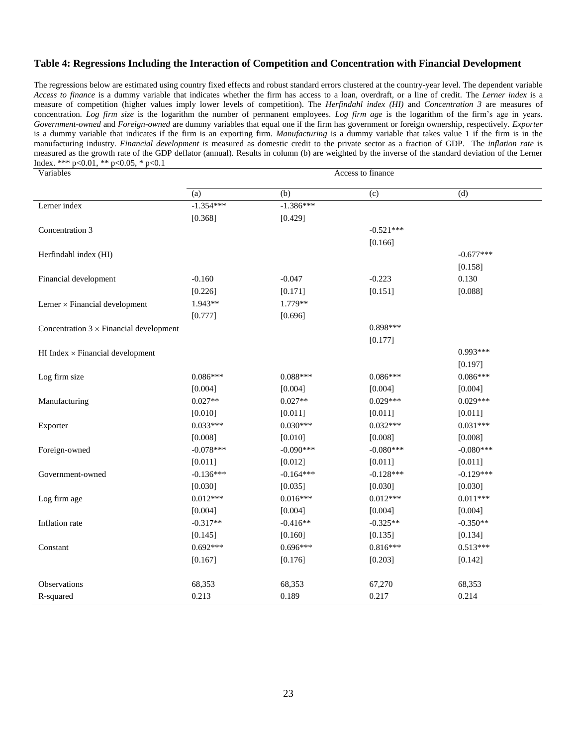#### **Table 4: Regressions Including the Interaction of Competition and Concentration with Financial Development**

The regressions below are estimated using country fixed effects and robust standard errors clustered at the country-year level. The dependent variable *Access to finance* is a dummy variable that indicates whether the firm has access to a loan, overdraft, or a line of credit. The *Lerner index* is a measure of competition (higher values imply lower levels of competition). The *Herfindahl index (HI)* and *Concentration 3* are measures of concentration*. Log firm size* is the logarithm the number of permanent employees. *Log firm age* is the logarithm of the firm's age in years. *Government-owned* and *Foreign-owned* are dummy variables that equal one if the firm has government or foreign ownership, respectively. *Exporter* is a dummy variable that indicates if the firm is an exporting firm. *Manufacturing* is a dummy variable that takes value 1 if the firm is in the manufacturing industry. *Financial development is* measured as domestic credit to the private sector as a fraction of GDP. The *inflation rate* is measured as the growth rate of the GDP deflator (annual). Results in column (b) are weighted by the inverse of the standard deviation of the Lerner Index. \*\*\* p<0.01, \*\* p<0.05, \* p<0.1

| Variables                                      |             |             | Access to finance |             |  |  |
|------------------------------------------------|-------------|-------------|-------------------|-------------|--|--|
|                                                | (a)         | (b)         | (c)               | (d)         |  |  |
| Lerner index                                   | $-1.354***$ | $-1.386***$ |                   |             |  |  |
|                                                | [0.368]     | [0.429]     |                   |             |  |  |
| Concentration 3                                |             |             | $-0.521***$       |             |  |  |
|                                                |             |             | [0.166]           |             |  |  |
| Herfindahl index (HI)                          |             |             |                   | $-0.677***$ |  |  |
|                                                |             |             |                   | [0.158]     |  |  |
| Financial development                          | $-0.160$    | $-0.047$    | $-0.223$          | 0.130       |  |  |
|                                                | [0.226]     | [0.171]     | [0.151]           | [0.088]     |  |  |
| Lerner × Financial development                 | 1.943**     | 1.779**     |                   |             |  |  |
|                                                | [0.777]     | [0.696]     |                   |             |  |  |
| Concentration $3 \times$ Financial development |             |             | $0.898***$        |             |  |  |
|                                                |             |             | [0.177]           |             |  |  |
| HI Index × Financial development               |             |             |                   | 0.993***    |  |  |
|                                                |             |             |                   | [0.197]     |  |  |
| Log firm size                                  | $0.086***$  | $0.088***$  | $0.086***$        | $0.086***$  |  |  |
|                                                | [0.004]     | [0.004]     | [0.004]           | [0.004]     |  |  |
| Manufacturing                                  | $0.027**$   | $0.027**$   | $0.029***$        | $0.029***$  |  |  |
|                                                | [0.010]     | [0.011]     | [0.011]           | [0.011]     |  |  |
| Exporter                                       | $0.033***$  | $0.030***$  | $0.032***$        | $0.031***$  |  |  |
|                                                | [0.008]     | [0.010]     | [0.008]           | [0.008]     |  |  |
| Foreign-owned                                  | $-0.078***$ | $-0.090***$ | $-0.080***$       | $-0.080***$ |  |  |
|                                                | [0.011]     | [0.012]     | [0.011]           | [0.011]     |  |  |
| Government-owned                               | $-0.136***$ | $-0.164***$ | $-0.128***$       | $-0.129***$ |  |  |
|                                                | [0.030]     | [0.035]     | [0.030]           | [0.030]     |  |  |
| Log firm age                                   | $0.012***$  | $0.016***$  | $0.012***$        | $0.011***$  |  |  |
|                                                | [0.004]     | [0.004]     | [0.004]           | [0.004]     |  |  |
| Inflation rate                                 | $-0.317**$  | $-0.416**$  | $-0.325**$        | $-0.350**$  |  |  |
|                                                | [0.145]     | [0.160]     | [0.135]           | [0.134]     |  |  |
| Constant                                       | $0.692***$  | $0.696***$  | $0.816***$        | $0.513***$  |  |  |
|                                                | [0.167]     | [0.176]     | [0.203]           | [0.142]     |  |  |
| Observations                                   | 68,353      | 68,353      | 67,270            | 68,353      |  |  |
| R-squared                                      | 0.213       | 0.189       | 0.217             | 0.214       |  |  |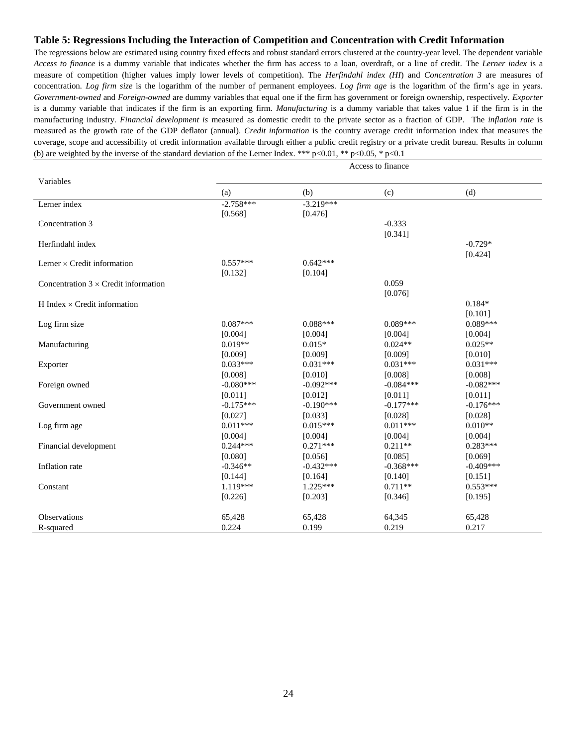#### **Table 5: Regressions Including the Interaction of Competition and Concentration with Credit Information**

The regressions below are estimated using country fixed effects and robust standard errors clustered at the country-year level. The dependent variable *Access to finance* is a dummy variable that indicates whether the firm has access to a loan, overdraft, or a line of credit. The *Lerner index* is a measure of competition (higher values imply lower levels of competition). The *Herfindahl index (HI*) and *Concentration 3* are measures of concentration*. Log firm size* is the logarithm of the number of permanent employees. *Log firm age* is the logarithm of the firm's age in years. *Government-owned* and *Foreign-owned* are dummy variables that equal one if the firm has government or foreign ownership, respectively. *Exporter* is a dummy variable that indicates if the firm is an exporting firm. *Manufacturing* is a dummy variable that takes value 1 if the firm is in the manufacturing industry. *Financial development is* measured as domestic credit to the private sector as a fraction of GDP. The *inflation rate* is measured as the growth rate of the GDP deflator (annual). *Credit information* is the country average credit information index that measures the coverage, scope and accessibility of credit information available through either a public credit registry or a private credit bureau. Results in column (b) are weighted by the inverse of the standard deviation of the Lerner Index. \*\*\* p<0.01, \*\* p<0.05, \* p<0.1

|                                             |             |             | Access to finance |             |
|---------------------------------------------|-------------|-------------|-------------------|-------------|
| Variables                                   |             |             |                   |             |
|                                             | (a)         | (b)         | (c)               | (d)         |
| Lerner index                                | $-2.758***$ | $-3.219***$ |                   |             |
|                                             | [0.568]     | [0.476]     |                   |             |
| Concentration 3                             |             |             | $-0.333$          |             |
|                                             |             |             | [0.341]           |             |
| Herfindahl index                            |             |             |                   | $-0.729*$   |
|                                             |             |             |                   | [0.424]     |
| Lerner $\times$ Credit information          | $0.557***$  | $0.642***$  |                   |             |
|                                             | [0.132]     | [0.104]     |                   |             |
| Concentration $3 \times$ Credit information |             |             | 0.059             |             |
|                                             |             |             | [0.076]           |             |
| H Index $\times$ Credit information         |             |             |                   | $0.184*$    |
|                                             |             |             |                   | [0.101]     |
| Log firm size                               | $0.087***$  | $0.088***$  | $0.089***$        | $0.089***$  |
|                                             | [0.004]     | [0.004]     | [0.004]           | [0.004]     |
| Manufacturing                               | $0.019**$   | $0.015*$    | $0.024**$         | $0.025**$   |
|                                             | [0.009]     | [0.009]     | [0.009]           | [0.010]     |
| Exporter                                    | $0.033***$  | $0.031***$  | $0.031***$        | $0.031***$  |
|                                             | [0.008]     | [0.010]     | [0.008]           | [0.008]     |
| Foreign owned                               | $-0.080***$ | $-0.092***$ | $-0.084***$       | $-0.082***$ |
|                                             | [0.011]     | [0.012]     | [0.011]           | [0.011]     |
| Government owned                            | $-0.175***$ | $-0.190***$ | $-0.177***$       | $-0.176***$ |
|                                             | [0.027]     | [0.033]     | [0.028]           | [0.028]     |
| Log firm age                                | $0.011***$  | $0.015***$  | $0.011***$        | $0.010**$   |
|                                             | [0.004]     | [0.004]     | [0.004]           | [0.004]     |
| Financial development                       | $0.244***$  | $0.271***$  | $0.211**$         | $0.283***$  |
|                                             | [0.080]     | [0.056]     | [0.085]           | [0.069]     |
| Inflation rate                              | $-0.346**$  | $-0.432***$ | $-0.368***$       | $-0.409***$ |
|                                             | [0.144]     | [0.164]     | [0.140]           | [0.151]     |
| Constant                                    | $1.119***$  | $1.225***$  | $0.711**$         | $0.553***$  |
|                                             | [0.226]     | [0.203]     | [0.346]           | [0.195]     |
| <b>Observations</b>                         | 65,428      | 65,428      | 64,345            | 65,428      |
| R-squared                                   | 0.224       | 0.199       | 0.219             | 0.217       |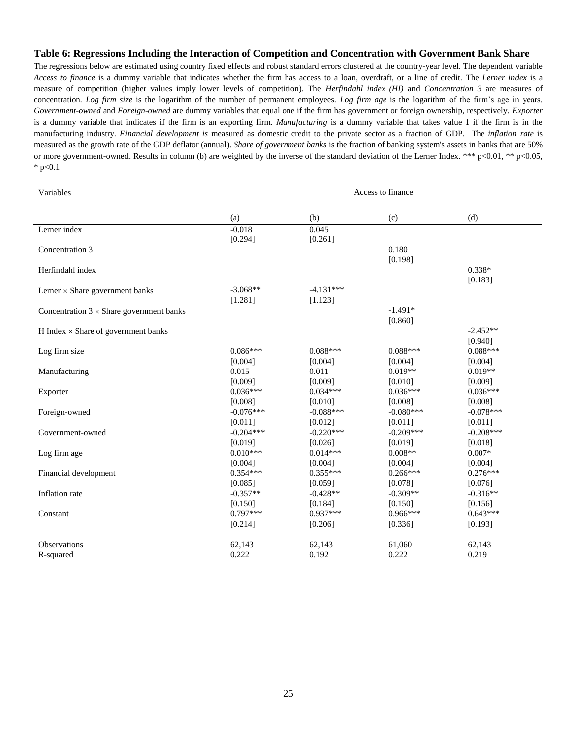#### **Table 6: Regressions Including the Interaction of Competition and Concentration with Government Bank Share**

The regressions below are estimated using country fixed effects and robust standard errors clustered at the country-year level. The dependent variable *Access to finance* is a dummy variable that indicates whether the firm has access to a loan, overdraft, or a line of credit. The *Lerner index* is a measure of competition (higher values imply lower levels of competition). The *Herfindahl index (HI)* and *Concentration 3* are measures of concentration*. Log firm size* is the logarithm of the number of permanent employees. *Log firm age* is the logarithm of the firm's age in years. *Government-owned* and *Foreign-owned* are dummy variables that equal one if the firm has government or foreign ownership, respectively. *Exporter* is a dummy variable that indicates if the firm is an exporting firm. *Manufacturing* is a dummy variable that takes value 1 if the firm is in the manufacturing industry. *Financial development is* measured as domestic credit to the private sector as a fraction of GDP. The *inflation rate* is measured as the growth rate of the GDP deflator (annual). *Share of government banks* is the fraction of banking system's assets in banks that are 50% or more government-owned. Results in column (b) are weighted by the inverse of the standard deviation of the Lerner Index. \*\*\* p<0.01, \*\* p<0.05,  $*$  p<0.1

| Variables                                       | Access to finance      |                        |                        |                                   |  |  |  |  |
|-------------------------------------------------|------------------------|------------------------|------------------------|-----------------------------------|--|--|--|--|
|                                                 | (a)                    | (b)                    | (c)                    | (d)                               |  |  |  |  |
| Lerner index                                    | $-0.018$<br>[0.294]    | 0.045<br>[0.261]       |                        |                                   |  |  |  |  |
| Concentration 3                                 |                        |                        | 0.180<br>[0.198]       |                                   |  |  |  |  |
| Herfindahl index                                |                        |                        |                        | $0.338*$<br>[0.183]               |  |  |  |  |
| Lerner $\times$ Share government banks          | $-3.068**$<br>[1.281]  | $-4.131***$<br>[1.123] |                        |                                   |  |  |  |  |
| Concentration $3 \times$ Share government banks |                        |                        | $-1.491*$<br>[0.860]   |                                   |  |  |  |  |
| H Index $\times$ Share of government banks      |                        |                        |                        | $-2.452**$<br>[0.940]             |  |  |  |  |
| Log firm size                                   | $0.086***$<br>[0.004]  | $0.088***$<br>[0.004]  | $0.088***$<br>[0.004]  | $0.088***$<br>[0.004]             |  |  |  |  |
| Manufacturing                                   | 0.015<br>[0.009]       | 0.011<br>[0.009]       | $0.019**$<br>[0.010]   | $0.019**$<br>[0.009]              |  |  |  |  |
| Exporter                                        | $0.036***$<br>[0.008]  | $0.034***$<br>[0.010]  | $0.036***$<br>[0.008]  | $0.036***$                        |  |  |  |  |
| Foreign-owned                                   | $-0.076***$<br>[0.011] | $-0.088***$<br>[0.012] | $-0.080***$<br>[0.011] | [0.008]<br>$-0.078***$<br>[0.011] |  |  |  |  |
| Government-owned                                | $-0.204***$<br>[0.019] | $-0.220***$<br>[0.026] | $-0.209***$<br>[0.019] | $-0.208***$<br>[0.018]            |  |  |  |  |
| Log firm age                                    | $0.010***$<br>[0.004]  | $0.014***$<br>[0.004]  | $0.008**$<br>[0.004]   | $0.007*$<br>[0.004]               |  |  |  |  |
| Financial development                           | $0.354***$<br>[0.085]  | $0.355***$<br>[0.059]  | $0.266***$<br>[0.078]  | $0.276***$<br>[0.076]             |  |  |  |  |
| Inflation rate                                  | $-0.357**$<br>[0.150]  | $-0.428**$<br>[0.184]  | $-0.309**$<br>[0.150]  | $-0.316**$                        |  |  |  |  |
| Constant                                        | $0.797***$<br>[0.214]  | $0.937***$<br>[0.206]  | $0.966***$<br>[0.336]  | [0.156]<br>$0.643***$<br>[0.193]  |  |  |  |  |
| Observations<br>R-squared                       | 62,143<br>0.222        | 62,143<br>0.192        | 61,060<br>0.222        | 62,143<br>0.219                   |  |  |  |  |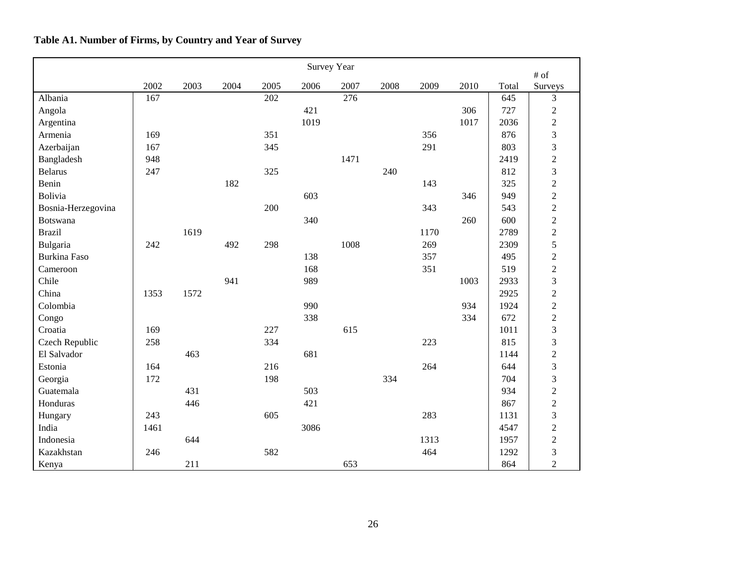|                     |      |      |      |      | Survey Year |      |      |      |      |       |                 |
|---------------------|------|------|------|------|-------------|------|------|------|------|-------|-----------------|
|                     | 2002 | 2003 | 2004 | 2005 | 2006        | 2007 | 2008 | 2009 | 2010 | Total | # of<br>Surveys |
| Albania             | 167  |      |      | 202  |             | 276  |      |      |      | 645   | 3               |
| Angola              |      |      |      |      | 421         |      |      |      | 306  | 727   | $\sqrt{2}$      |
| Argentina           |      |      |      |      | 1019        |      |      |      | 1017 | 2036  | $\overline{c}$  |
| Armenia             | 169  |      |      | 351  |             |      |      | 356  |      | 876   | 3               |
| Azerbaijan          | 167  |      |      | 345  |             |      |      | 291  |      | 803   | 3               |
| Bangladesh          | 948  |      |      |      |             | 1471 |      |      |      | 2419  | $\overline{c}$  |
| <b>Belarus</b>      | 247  |      |      | 325  |             |      | 240  |      |      | 812   | 3               |
| Benin               |      |      | 182  |      |             |      |      | 143  |      | 325   | $\overline{2}$  |
| <b>Bolivia</b>      |      |      |      |      | 603         |      |      |      | 346  | 949   | $\overline{c}$  |
| Bosnia-Herzegovina  |      |      |      | 200  |             |      |      | 343  |      | 543   | $\overline{c}$  |
| <b>Botswana</b>     |      |      |      |      | 340         |      |      |      | 260  | 600   | $\overline{c}$  |
| <b>Brazil</b>       |      | 1619 |      |      |             |      |      | 1170 |      | 2789  | $\overline{c}$  |
| Bulgaria            | 242  |      | 492  | 298  |             | 1008 |      | 269  |      | 2309  | 5               |
| <b>Burkina Faso</b> |      |      |      |      | 138         |      |      | 357  |      | 495   | $\overline{2}$  |
| Cameroon            |      |      |      |      | 168         |      |      | 351  |      | 519   | $\overline{c}$  |
| Chile               |      |      | 941  |      | 989         |      |      |      | 1003 | 2933  | 3               |
| China               | 1353 | 1572 |      |      |             |      |      |      |      | 2925  | $\sqrt{2}$      |
| Colombia            |      |      |      |      | 990         |      |      |      | 934  | 1924  | $\overline{c}$  |
| Congo               |      |      |      |      | 338         |      |      |      | 334  | 672   | $\overline{c}$  |
| Croatia             | 169  |      |      | 227  |             | 615  |      |      |      | 1011  | $\overline{3}$  |
| Czech Republic      | 258  |      |      | 334  |             |      |      | 223  |      | 815   | $\mathfrak{Z}$  |
| El Salvador         |      | 463  |      |      | 681         |      |      |      |      | 1144  | $\sqrt{2}$      |
| Estonia             | 164  |      |      | 216  |             |      |      | 264  |      | 644   | $\overline{3}$  |
| Georgia             | 172  |      |      | 198  |             |      | 334  |      |      | 704   | 3               |
| Guatemala           |      | 431  |      |      | 503         |      |      |      |      | 934   | $\overline{2}$  |
| Honduras            |      | 446  |      |      | 421         |      |      |      |      | 867   | $\sqrt{2}$      |
| Hungary             | 243  |      |      | 605  |             |      |      | 283  |      | 1131  | 3               |
| India               | 1461 |      |      |      | 3086        |      |      |      |      | 4547  | $\sqrt{2}$      |
| Indonesia           |      | 644  |      |      |             |      |      | 1313 |      | 1957  | $\overline{2}$  |
| Kazakhstan          | 246  |      |      | 582  |             |      |      | 464  |      | 1292  | $\mathfrak{Z}$  |
| Kenya               |      | 211  |      |      |             | 653  |      |      |      | 864   | $\overline{2}$  |

## **Table A1. Number of Firms, by Country and Year of Survey**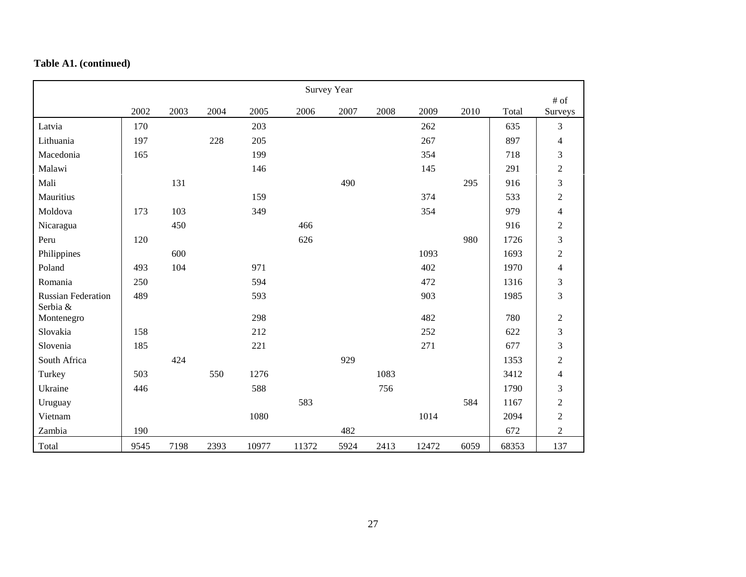### **Table A1. (continued)**

|                           |      |      |      |       |       | Survey Year |      |       |      |       |                    |
|---------------------------|------|------|------|-------|-------|-------------|------|-------|------|-------|--------------------|
|                           | 2002 | 2003 | 2004 | 2005  | 2006  | 2007        | 2008 | 2009  | 2010 | Total | $\#$ of<br>Surveys |
| Latvia                    | 170  |      |      | 203   |       |             |      | 262   |      | 635   | 3                  |
| Lithuania                 | 197  |      | 228  | 205   |       |             |      | 267   |      | 897   | $\overline{4}$     |
| Macedonia                 | 165  |      |      | 199   |       |             |      | 354   |      | 718   | 3                  |
| Malawi                    |      |      |      | 146   |       |             |      | 145   |      | 291   | $\sqrt{2}$         |
| Mali                      |      | 131  |      |       |       | 490         |      |       | 295  | 916   | 3                  |
| Mauritius                 |      |      |      | 159   |       |             |      | 374   |      | 533   | $\overline{c}$     |
|                           |      |      |      |       |       |             |      |       |      |       |                    |
| Moldova                   | 173  | 103  |      | 349   |       |             |      | 354   |      | 979   | $\overline{4}$     |
| Nicaragua                 |      | 450  |      |       | 466   |             |      |       |      | 916   | $\overline{c}$     |
| Peru                      | 120  |      |      |       | 626   |             |      |       | 980  | 1726  | 3                  |
| Philippines               |      | 600  |      |       |       |             |      | 1093  |      | 1693  | $\overline{c}$     |
| Poland                    | 493  | 104  |      | 971   |       |             |      | 402   |      | 1970  | $\overline{4}$     |
| Romania                   | 250  |      |      | 594   |       |             |      | 472   |      | 1316  | 3                  |
| <b>Russian Federation</b> | 489  |      |      | 593   |       |             |      | 903   |      | 1985  | 3                  |
| Serbia &                  |      |      |      |       |       |             |      |       |      |       |                    |
| Montenegro                |      |      |      | 298   |       |             |      | 482   |      | 780   | $\overline{c}$     |
| Slovakia                  | 158  |      |      | 212   |       |             |      | 252   |      | 622   | 3                  |
| Slovenia                  | 185  |      |      | 221   |       |             |      | 271   |      | 677   | $\mathfrak{Z}$     |
| South Africa              |      | 424  |      |       |       | 929         |      |       |      | 1353  | $\overline{c}$     |
| Turkey                    | 503  |      | 550  | 1276  |       |             | 1083 |       |      | 3412  | $\overline{4}$     |
| Ukraine                   | 446  |      |      | 588   |       |             | 756  |       |      | 1790  | $\mathfrak{Z}$     |
| Uruguay                   |      |      |      |       | 583   |             |      |       | 584  | 1167  | $\overline{c}$     |
| Vietnam                   |      |      |      | 1080  |       |             |      | 1014  |      | 2094  | $\overline{c}$     |
| Zambia                    | 190  |      |      |       |       | 482         |      |       |      | 672   | $\overline{2}$     |
| Total                     | 9545 | 7198 | 2393 | 10977 | 11372 | 5924        | 2413 | 12472 | 6059 | 68353 | 137                |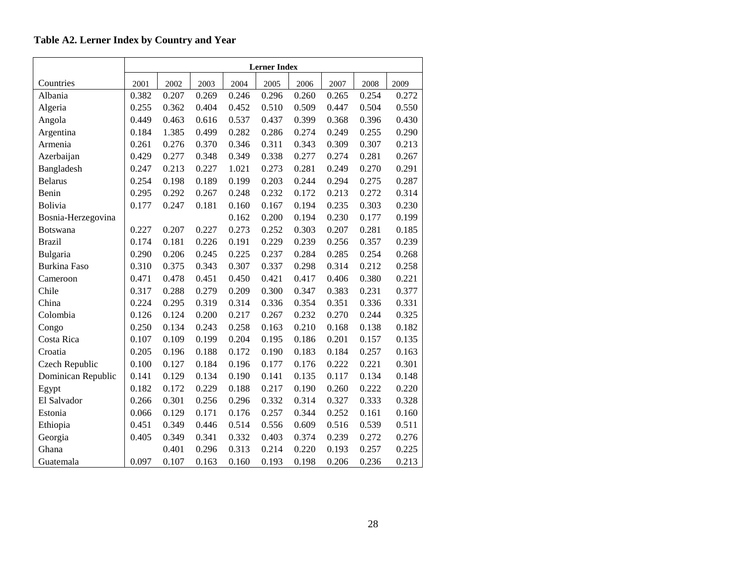## **Table A2. Lerner Index by Country and Year**

|                     | <b>Lerner Index</b> |       |       |       |       |       |       |       |       |  |
|---------------------|---------------------|-------|-------|-------|-------|-------|-------|-------|-------|--|
| Countries           | 2001                | 2002  | 2003  | 2004  | 2005  | 2006  | 2007  | 2008  | 2009  |  |
| Albania             | 0.382               | 0.207 | 0.269 | 0.246 | 0.296 | 0.260 | 0.265 | 0.254 | 0.272 |  |
| Algeria             | 0.255               | 0.362 | 0.404 | 0.452 | 0.510 | 0.509 | 0.447 | 0.504 | 0.550 |  |
| Angola              | 0.449               | 0.463 | 0.616 | 0.537 | 0.437 | 0.399 | 0.368 | 0.396 | 0.430 |  |
| Argentina           | 0.184               | 1.385 | 0.499 | 0.282 | 0.286 | 0.274 | 0.249 | 0.255 | 0.290 |  |
| Armenia             | 0.261               | 0.276 | 0.370 | 0.346 | 0.311 | 0.343 | 0.309 | 0.307 | 0.213 |  |
| Azerbaijan          | 0.429               | 0.277 | 0.348 | 0.349 | 0.338 | 0.277 | 0.274 | 0.281 | 0.267 |  |
| Bangladesh          | 0.247               | 0.213 | 0.227 | 1.021 | 0.273 | 0.281 | 0.249 | 0.270 | 0.291 |  |
| <b>Belarus</b>      | 0.254               | 0.198 | 0.189 | 0.199 | 0.203 | 0.244 | 0.294 | 0.275 | 0.287 |  |
| Benin               | 0.295               | 0.292 | 0.267 | 0.248 | 0.232 | 0.172 | 0.213 | 0.272 | 0.314 |  |
| Bolivia             | 0.177               | 0.247 | 0.181 | 0.160 | 0.167 | 0.194 | 0.235 | 0.303 | 0.230 |  |
| Bosnia-Herzegovina  |                     |       |       | 0.162 | 0.200 | 0.194 | 0.230 | 0.177 | 0.199 |  |
| <b>Botswana</b>     | 0.227               | 0.207 | 0.227 | 0.273 | 0.252 | 0.303 | 0.207 | 0.281 | 0.185 |  |
| <b>Brazil</b>       | 0.174               | 0.181 | 0.226 | 0.191 | 0.229 | 0.239 | 0.256 | 0.357 | 0.239 |  |
| Bulgaria            | 0.290               | 0.206 | 0.245 | 0.225 | 0.237 | 0.284 | 0.285 | 0.254 | 0.268 |  |
| <b>Burkina Faso</b> | 0.310               | 0.375 | 0.343 | 0.307 | 0.337 | 0.298 | 0.314 | 0.212 | 0.258 |  |
| Cameroon            | 0.471               | 0.478 | 0.451 | 0.450 | 0.421 | 0.417 | 0.406 | 0.380 | 0.221 |  |
| Chile               | 0.317               | 0.288 | 0.279 | 0.209 | 0.300 | 0.347 | 0.383 | 0.231 | 0.377 |  |
| China               | 0.224               | 0.295 | 0.319 | 0.314 | 0.336 | 0.354 | 0.351 | 0.336 | 0.331 |  |
| Colombia            | 0.126               | 0.124 | 0.200 | 0.217 | 0.267 | 0.232 | 0.270 | 0.244 | 0.325 |  |
| Congo               | 0.250               | 0.134 | 0.243 | 0.258 | 0.163 | 0.210 | 0.168 | 0.138 | 0.182 |  |
| Costa Rica          | 0.107               | 0.109 | 0.199 | 0.204 | 0.195 | 0.186 | 0.201 | 0.157 | 0.135 |  |
| Croatia             | 0.205               | 0.196 | 0.188 | 0.172 | 0.190 | 0.183 | 0.184 | 0.257 | 0.163 |  |
| Czech Republic      | 0.100               | 0.127 | 0.184 | 0.196 | 0.177 | 0.176 | 0.222 | 0.221 | 0.301 |  |
| Dominican Republic  | 0.141               | 0.129 | 0.134 | 0.190 | 0.141 | 0.135 | 0.117 | 0.134 | 0.148 |  |
| Egypt               | 0.182               | 0.172 | 0.229 | 0.188 | 0.217 | 0.190 | 0.260 | 0.222 | 0.220 |  |
| El Salvador         | 0.266               | 0.301 | 0.256 | 0.296 | 0.332 | 0.314 | 0.327 | 0.333 | 0.328 |  |
| Estonia             | 0.066               | 0.129 | 0.171 | 0.176 | 0.257 | 0.344 | 0.252 | 0.161 | 0.160 |  |
| Ethiopia            | 0.451               | 0.349 | 0.446 | 0.514 | 0.556 | 0.609 | 0.516 | 0.539 | 0.511 |  |
| Georgia             | 0.405               | 0.349 | 0.341 | 0.332 | 0.403 | 0.374 | 0.239 | 0.272 | 0.276 |  |
| Ghana               |                     | 0.401 | 0.296 | 0.313 | 0.214 | 0.220 | 0.193 | 0.257 | 0.225 |  |
| Guatemala           | 0.097               | 0.107 | 0.163 | 0.160 | 0.193 | 0.198 | 0.206 | 0.236 | 0.213 |  |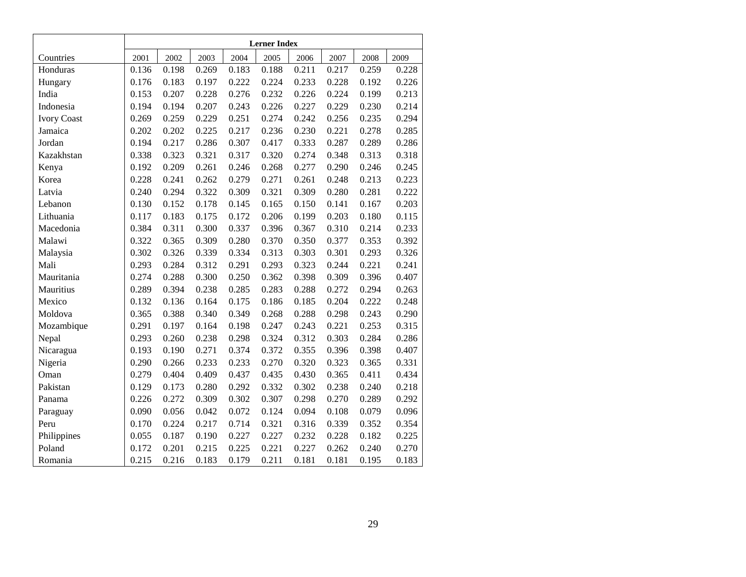|                    | <b>Lerner Index</b> |       |       |       |       |       |       |       |       |  |  |
|--------------------|---------------------|-------|-------|-------|-------|-------|-------|-------|-------|--|--|
| Countries          | 2001                | 2002  | 2003  | 2004  | 2005  | 2006  | 2007  | 2008  | 2009  |  |  |
| Honduras           | 0.136               | 0.198 | 0.269 | 0.183 | 0.188 | 0.211 | 0.217 | 0.259 | 0.228 |  |  |
| Hungary            | 0.176               | 0.183 | 0.197 | 0.222 | 0.224 | 0.233 | 0.228 | 0.192 | 0.226 |  |  |
| India              | 0.153               | 0.207 | 0.228 | 0.276 | 0.232 | 0.226 | 0.224 | 0.199 | 0.213 |  |  |
| Indonesia          | 0.194               | 0.194 | 0.207 | 0.243 | 0.226 | 0.227 | 0.229 | 0.230 | 0.214 |  |  |
| <b>Ivory Coast</b> | 0.269               | 0.259 | 0.229 | 0.251 | 0.274 | 0.242 | 0.256 | 0.235 | 0.294 |  |  |
| Jamaica            | 0.202               | 0.202 | 0.225 | 0.217 | 0.236 | 0.230 | 0.221 | 0.278 | 0.285 |  |  |
| Jordan             | 0.194               | 0.217 | 0.286 | 0.307 | 0.417 | 0.333 | 0.287 | 0.289 | 0.286 |  |  |
| Kazakhstan         | 0.338               | 0.323 | 0.321 | 0.317 | 0.320 | 0.274 | 0.348 | 0.313 | 0.318 |  |  |
| Kenya              | 0.192               | 0.209 | 0.261 | 0.246 | 0.268 | 0.277 | 0.290 | 0.246 | 0.245 |  |  |
| Korea              | 0.228               | 0.241 | 0.262 | 0.279 | 0.271 | 0.261 | 0.248 | 0.213 | 0.223 |  |  |
| Latvia             | 0.240               | 0.294 | 0.322 | 0.309 | 0.321 | 0.309 | 0.280 | 0.281 | 0.222 |  |  |
| Lebanon            | 0.130               | 0.152 | 0.178 | 0.145 | 0.165 | 0.150 | 0.141 | 0.167 | 0.203 |  |  |
| Lithuania          | 0.117               | 0.183 | 0.175 | 0.172 | 0.206 | 0.199 | 0.203 | 0.180 | 0.115 |  |  |
| Macedonia          | 0.384               | 0.311 | 0.300 | 0.337 | 0.396 | 0.367 | 0.310 | 0.214 | 0.233 |  |  |
| Malawi             | 0.322               | 0.365 | 0.309 | 0.280 | 0.370 | 0.350 | 0.377 | 0.353 | 0.392 |  |  |
| Malaysia           | 0.302               | 0.326 | 0.339 | 0.334 | 0.313 | 0.303 | 0.301 | 0.293 | 0.326 |  |  |
| Mali               | 0.293               | 0.284 | 0.312 | 0.291 | 0.293 | 0.323 | 0.244 | 0.221 | 0.241 |  |  |
| Mauritania         | 0.274               | 0.288 | 0.300 | 0.250 | 0.362 | 0.398 | 0.309 | 0.396 | 0.407 |  |  |
| Mauritius          | 0.289               | 0.394 | 0.238 | 0.285 | 0.283 | 0.288 | 0.272 | 0.294 | 0.263 |  |  |
| Mexico             | 0.132               | 0.136 | 0.164 | 0.175 | 0.186 | 0.185 | 0.204 | 0.222 | 0.248 |  |  |
| Moldova            | 0.365               | 0.388 | 0.340 | 0.349 | 0.268 | 0.288 | 0.298 | 0.243 | 0.290 |  |  |
| Mozambique         | 0.291               | 0.197 | 0.164 | 0.198 | 0.247 | 0.243 | 0.221 | 0.253 | 0.315 |  |  |
| Nepal              | 0.293               | 0.260 | 0.238 | 0.298 | 0.324 | 0.312 | 0.303 | 0.284 | 0.286 |  |  |
| Nicaragua          | 0.193               | 0.190 | 0.271 | 0.374 | 0.372 | 0.355 | 0.396 | 0.398 | 0.407 |  |  |
| Nigeria            | 0.290               | 0.266 | 0.233 | 0.233 | 0.270 | 0.320 | 0.323 | 0.365 | 0.331 |  |  |
| Oman               | 0.279               | 0.404 | 0.409 | 0.437 | 0.435 | 0.430 | 0.365 | 0.411 | 0.434 |  |  |
| Pakistan           | 0.129               | 0.173 | 0.280 | 0.292 | 0.332 | 0.302 | 0.238 | 0.240 | 0.218 |  |  |
| Panama             | 0.226               | 0.272 | 0.309 | 0.302 | 0.307 | 0.298 | 0.270 | 0.289 | 0.292 |  |  |
| Paraguay           | 0.090               | 0.056 | 0.042 | 0.072 | 0.124 | 0.094 | 0.108 | 0.079 | 0.096 |  |  |
| Peru               | 0.170               | 0.224 | 0.217 | 0.714 | 0.321 | 0.316 | 0.339 | 0.352 | 0.354 |  |  |
| Philippines        | 0.055               | 0.187 | 0.190 | 0.227 | 0.227 | 0.232 | 0.228 | 0.182 | 0.225 |  |  |
| Poland             | 0.172               | 0.201 | 0.215 | 0.225 | 0.221 | 0.227 | 0.262 | 0.240 | 0.270 |  |  |
| Romania            | 0.215               | 0.216 | 0.183 | 0.179 | 0.211 | 0.181 | 0.181 | 0.195 | 0.183 |  |  |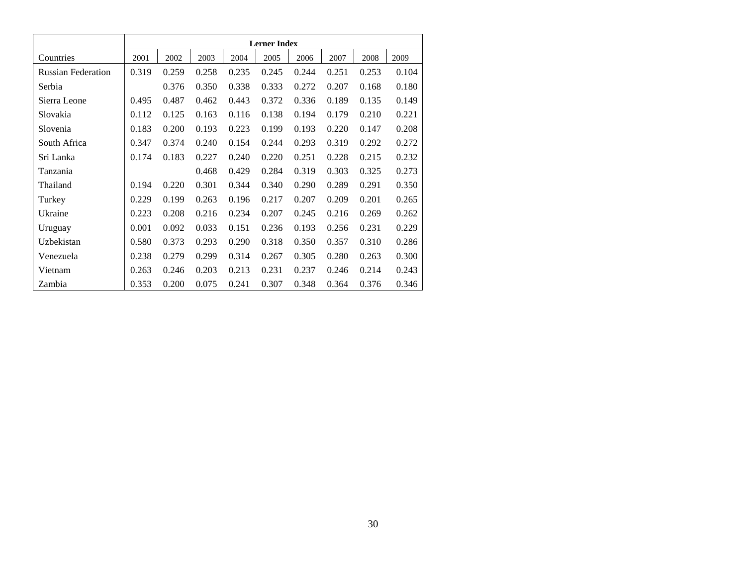|                           | <b>Lerner Index</b> |       |       |       |       |       |       |       |       |
|---------------------------|---------------------|-------|-------|-------|-------|-------|-------|-------|-------|
| Countries                 | 2001                | 2002  | 2003  | 2004  | 2005  | 2006  | 2007  | 2008  | 2009  |
| <b>Russian Federation</b> | 0.319               | 0.259 | 0.258 | 0.235 | 0.245 | 0.244 | 0.251 | 0.253 | 0.104 |
| Serbia                    |                     | 0.376 | 0.350 | 0.338 | 0.333 | 0.272 | 0.207 | 0.168 | 0.180 |
| Sierra Leone              | 0.495               | 0.487 | 0.462 | 0.443 | 0.372 | 0.336 | 0.189 | 0.135 | 0.149 |
| Slovakia                  | 0.112               | 0.125 | 0.163 | 0.116 | 0.138 | 0.194 | 0.179 | 0.210 | 0.221 |
| Slovenia                  | 0.183               | 0.200 | 0.193 | 0.223 | 0.199 | 0.193 | 0.220 | 0.147 | 0.208 |
| South Africa              | 0.347               | 0.374 | 0.240 | 0.154 | 0.244 | 0.293 | 0.319 | 0.292 | 0.272 |
| Sri Lanka                 | 0.174               | 0.183 | 0.227 | 0.240 | 0.220 | 0.251 | 0.228 | 0.215 | 0.232 |
| Tanzania                  |                     |       | 0.468 | 0.429 | 0.284 | 0.319 | 0.303 | 0.325 | 0.273 |
| Thailand                  | 0.194               | 0.220 | 0.301 | 0.344 | 0.340 | 0.290 | 0.289 | 0.291 | 0.350 |
| Turkey                    | 0.229               | 0.199 | 0.263 | 0.196 | 0.217 | 0.207 | 0.209 | 0.201 | 0.265 |
| Ukraine                   | 0.223               | 0.208 | 0.216 | 0.234 | 0.207 | 0.245 | 0.216 | 0.269 | 0.262 |
| Uruguay                   | 0.001               | 0.092 | 0.033 | 0.151 | 0.236 | 0.193 | 0.256 | 0.231 | 0.229 |
| Uzbekistan                | 0.580               | 0.373 | 0.293 | 0.290 | 0.318 | 0.350 | 0.357 | 0.310 | 0.286 |
| Venezuela                 | 0.238               | 0.279 | 0.299 | 0.314 | 0.267 | 0.305 | 0.280 | 0.263 | 0.300 |
| Vietnam                   | 0.263               | 0.246 | 0.203 | 0.213 | 0.231 | 0.237 | 0.246 | 0.214 | 0.243 |
| Zambia                    | 0.353               | 0.200 | 0.075 | 0.241 | 0.307 | 0.348 | 0.364 | 0.376 | 0.346 |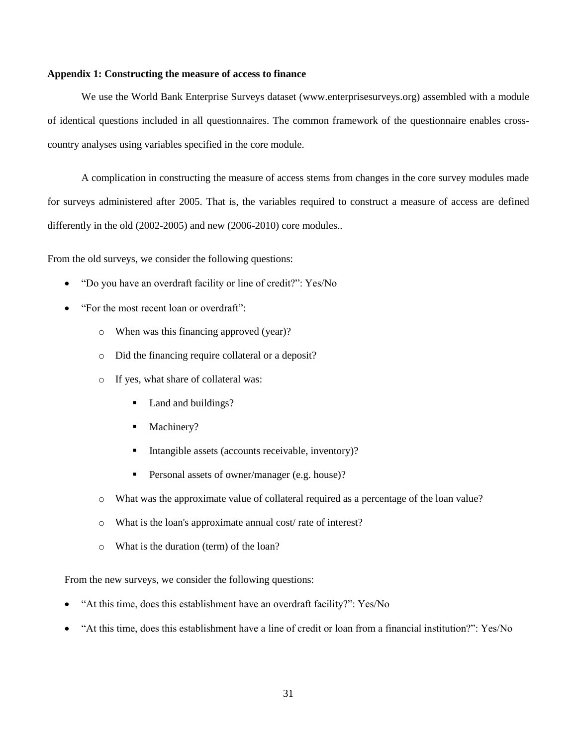#### **Appendix 1: Constructing the measure of access to finance**

We use the World Bank Enterprise Surveys dataset (www.enterprisesurveys.org) assembled with a module of identical questions included in all questionnaires. The common framework of the questionnaire enables crosscountry analyses using variables specified in the core module.

A complication in constructing the measure of access stems from changes in the core survey modules made for surveys administered after 2005. That is, the variables required to construct a measure of access are defined differently in the old (2002-2005) and new (2006-2010) core modules..

From the old surveys, we consider the following questions:

- "Do you have an overdraft facility or line of credit?": Yes/No
- "For the most recent loan or overdraft":
	- o When was this financing approved (year)?
	- o Did the financing require collateral or a deposit?
	- o If yes, what share of collateral was:
		- Land and buildings?
		- Machinery?
		- Intangible assets (accounts receivable, inventory)?
		- **Personal assets of owner/manager (e.g. house)?**
	- o What was the approximate value of collateral required as a percentage of the loan value?
	- o What is the loan's approximate annual cost/ rate of interest?
	- o What is the duration (term) of the loan?

From the new surveys, we consider the following questions:

- "At this time, does this establishment have an overdraft facility?": Yes/No
- "At this time, does this establishment have a line of credit or loan from a financial institution?": Yes/No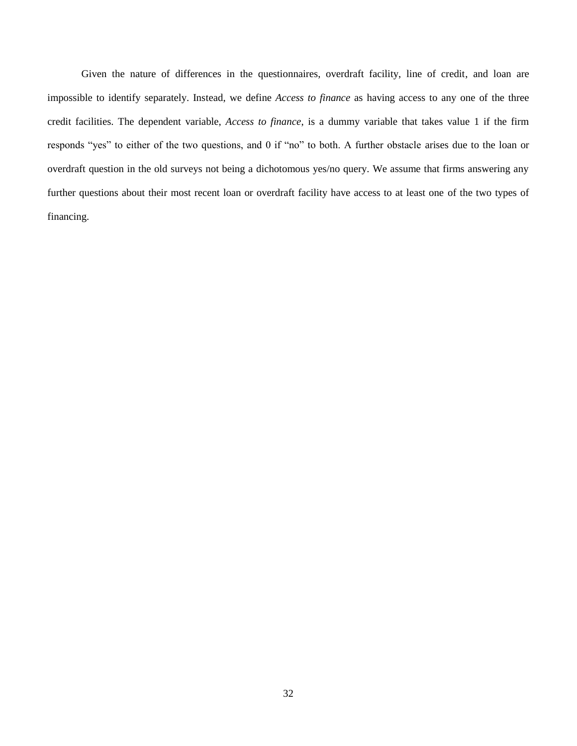Given the nature of differences in the questionnaires, overdraft facility, line of credit, and loan are impossible to identify separately. Instead, we define *Access to finance* as having access to any one of the three credit facilities. The dependent variable, *Access to finance*, is a dummy variable that takes value 1 if the firm responds "yes" to either of the two questions, and 0 if "no" to both. A further obstacle arises due to the loan or overdraft question in the old surveys not being a dichotomous yes/no query. We assume that firms answering any further questions about their most recent loan or overdraft facility have access to at least one of the two types of financing.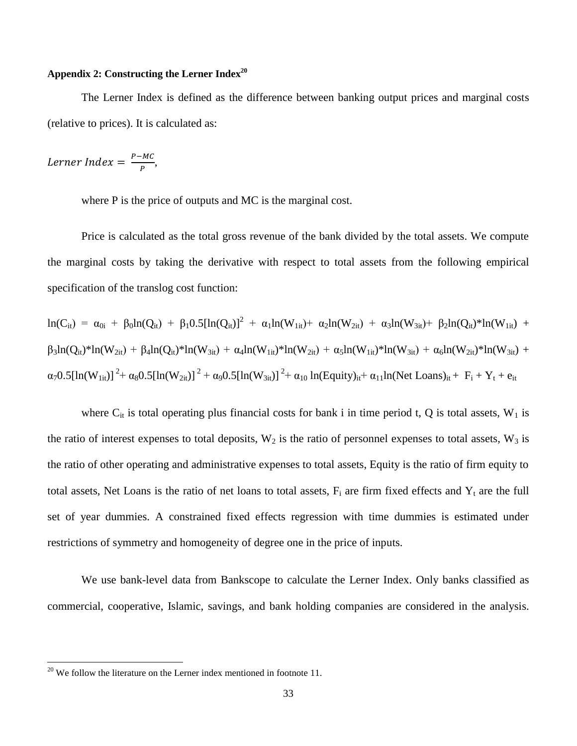## **Appendix 2: Constructing the Lerner Index<sup>20</sup>**

The Lerner Index is defined as the difference between banking output prices and marginal costs (relative to prices). It is calculated as:

Lerner Index  $=\frac{F - mc}{p}$ ,

where P is the price of outputs and MC is the marginal cost.

Price is calculated as the total gross revenue of the bank divided by the total assets. We compute the marginal costs by taking the derivative with respect to total assets from the following empirical specification of the translog cost function:

$$
ln(C_{it}) = \alpha_{0i} + \beta_0 ln(Q_{it}) + \beta_1 0.5[ln(Q_{it})]^2 + \alpha_1 ln(W_{1it}) + \alpha_2 ln(W_{2it}) + \alpha_3 ln(W_{3it}) + \beta_2 ln(Q_{it}) * ln(W_{1it}) +
$$
  
\n
$$
\beta_3 ln(Q_{it}) * ln(W_{2it}) + \beta_4 ln(Q_{it}) * ln(W_{3it}) + \alpha_4 ln(W_{1it}) * ln(W_{2it}) + \alpha_5 ln(W_{1it}) * ln(W_{3it}) + \alpha_6 ln(W_{2it}) * ln(W_{3it}) +
$$
  
\n
$$
\alpha_7 0.5[ln(W_{1it})]^2 + \alpha_8 0.5[ln(W_{2it})]^2 + \alpha_9 0.5[ln(W_{3it})]^2 + \alpha_{10} ln(Equity)_{it} + \alpha_{11} ln(Net Loans)_{it} + F_i + Y_t + e_{it}
$$

where  $C_{it}$  is total operating plus financial costs for bank i in time period t, Q is total assets,  $W_1$  is the ratio of interest expenses to total deposits,  $W_2$  is the ratio of personnel expenses to total assets,  $W_3$  is the ratio of other operating and administrative expenses to total assets, Equity is the ratio of firm equity to total assets, Net Loans is the ratio of net loans to total assets,  $F_i$  are firm fixed effects and  $Y_t$  are the full set of year dummies. A constrained fixed effects regression with time dummies is estimated under restrictions of symmetry and homogeneity of degree one in the price of inputs.

We use bank-level data from Bankscope to calculate the Lerner Index. Only banks classified as commercial, cooperative, Islamic, savings, and bank holding companies are considered in the analysis.

 $\overline{a}$ 

 $20$  We follow the literature on the Lerner index mentioned in footnote 11.